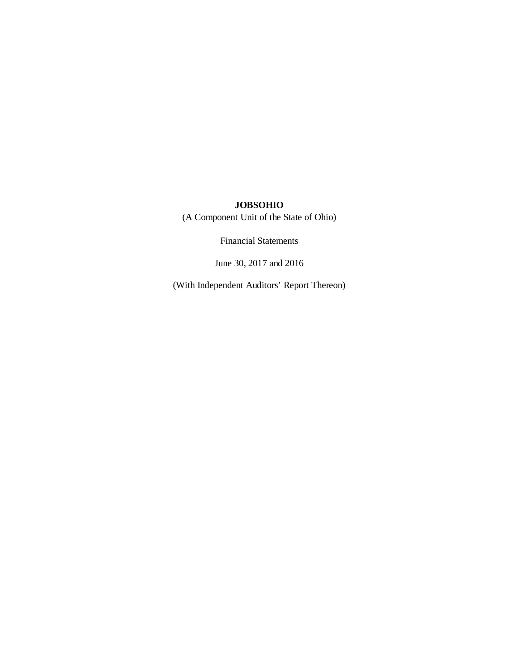(A Component Unit of the State of Ohio)

Financial Statements

June 30, 2017 and 2016

(With Independent Auditors' Report Thereon)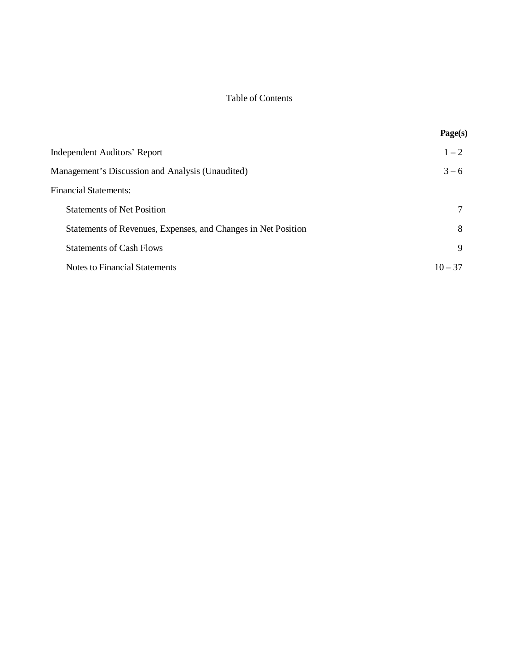# Table of Contents

|                                                               | Page(s)   |
|---------------------------------------------------------------|-----------|
| <b>Independent Auditors' Report</b>                           | $1 - 2$   |
| Management's Discussion and Analysis (Unaudited)              | $3 - 6$   |
| <b>Financial Statements:</b>                                  |           |
| <b>Statements of Net Position</b>                             |           |
| Statements of Revenues, Expenses, and Changes in Net Position | 8         |
| <b>Statements of Cash Flows</b>                               | 9         |
| <b>Notes to Financial Statements</b>                          | $10 - 37$ |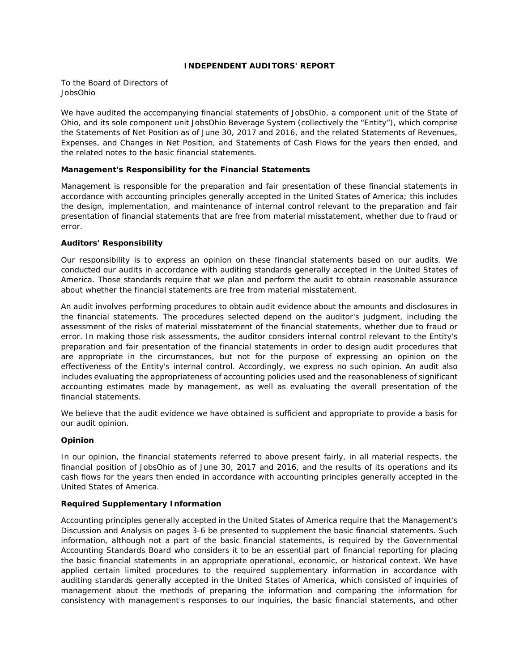#### **INDEPENDENT AUDITORS' REPORT**

To the Board of Directors of JobsOhio

We have audited the accompanying financial statements of JobsOhio, a component unit of the State of Ohio, and its sole component unit JobsOhio Beverage System (collectively the "Entity"), which comprise the Statements of Net Position as of June 30, 2017 and 2016, and the related Statements of Revenues, Expenses, and Changes in Net Position, and Statements of Cash Flows for the years then ended, and the related notes to the basic financial statements.

### **Management's Responsibility for the Financial Statements**

Management is responsible for the preparation and fair presentation of these financial statements in accordance with accounting principles generally accepted in the United States of America; this includes the design, implementation, and maintenance of internal control relevant to the preparation and fair presentation of financial statements that are free from material misstatement, whether due to fraud or error.

### **Auditors' Responsibility**

Our responsibility is to express an opinion on these financial statements based on our audits. We conducted our audits in accordance with auditing standards generally accepted in the United States of America. Those standards require that we plan and perform the audit to obtain reasonable assurance about whether the financial statements are free from material misstatement.

An audit involves performing procedures to obtain audit evidence about the amounts and disclosures in the financial statements. The procedures selected depend on the auditor's judgment, including the assessment of the risks of material misstatement of the financial statements, whether due to fraud or error. In making those risk assessments, the auditor considers internal control relevant to the Entity's preparation and fair presentation of the financial statements in order to design audit procedures that are appropriate in the circumstances, but not for the purpose of expressing an opinion on the effectiveness of the Entity's internal control. Accordingly, we express no such opinion. An audit also includes evaluating the appropriateness of accounting policies used and the reasonableness of significant accounting estimates made by management, as well as evaluating the overall presentation of the financial statements.

We believe that the audit evidence we have obtained is sufficient and appropriate to provide a basis for our audit opinion.

#### **Opinion**

In our opinion, the financial statements referred to above present fairly, in all material respects, the financial position of JobsOhio as of June 30, 2017 and 2016, and the results of its operations and its cash flows for the years then ended in accordance with accounting principles generally accepted in the United States of America.

## **Required Supplementary Information**

Accounting principles generally accepted in the United States of America require that the Management's Discussion and Analysis on pages 3-6 be presented to supplement the basic financial statements. Such information, although not a part of the basic financial statements, is required by the Governmental Accounting Standards Board who considers it to be an essential part of financial reporting for placing the basic financial statements in an appropriate operational, economic, or historical context. We have applied certain limited procedures to the required supplementary information in accordance with auditing standards generally accepted in the United States of America, which consisted of inquiries of management about the methods of preparing the information and comparing the information for consistency with management's responses to our inquiries, the basic financial statements, and other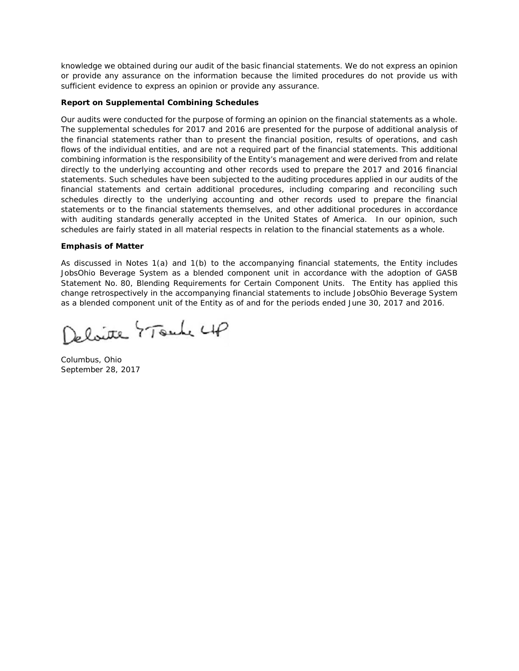knowledge we obtained during our audit of the basic financial statements. We do not express an opinion or provide any assurance on the information because the limited procedures do not provide us with sufficient evidence to express an opinion or provide any assurance.

### **Report on Supplemental Combining Schedules**

Our audits were conducted for the purpose of forming an opinion on the financial statements as a whole. The supplemental schedules for 2017 and 2016 are presented for the purpose of additional analysis of the financial statements rather than to present the financial position, results of operations, and cash flows of the individual entities, and are not a required part of the financial statements. This additional combining information is the responsibility of the Entity's management and were derived from and relate directly to the underlying accounting and other records used to prepare the 2017 and 2016 financial statements. Such schedules have been subjected to the auditing procedures applied in our audits of the financial statements and certain additional procedures, including comparing and reconciling such schedules directly to the underlying accounting and other records used to prepare the financial statements or to the financial statements themselves, and other additional procedures in accordance with auditing standards generally accepted in the United States of America. In our opinion, such schedules are fairly stated in all material respects in relation to the financial statements as a whole.

#### **Emphasis of Matter**

As discussed in Notes 1(a) and 1(b) to the accompanying financial statements, the Entity includes JobsOhio Beverage System as a blended component unit in accordance with the adoption of GASB Statement No. 80, *Blending Requirements for Certain Component Units*. The Entity has applied this change retrospectively in the accompanying financial statements to include JobsOhio Beverage System as a blended component unit of the Entity as of and for the periods ended June 30, 2017 and 2016.

Cloite Touke 4P

Columbus, Ohio September 28, 2017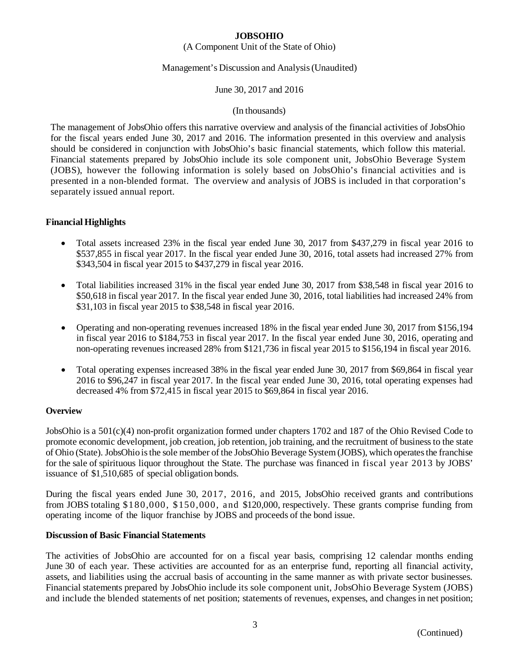# (A Component Unit of the State of Ohio)

# Management's Discussion and Analysis(Unaudited)

# June 30, 2017 and 2016

# (In thousands)

The management of JobsOhio offers this narrative overview and analysis of the financial activities of JobsOhio for the fiscal years ended June 30, 2017 and 2016. The information presented in this overview and analysis should be considered in conjunction with JobsOhio's basic financial statements, which follow this material. Financial statements prepared by JobsOhio include its sole component unit, JobsOhio Beverage System (JOBS), however the following information is solely based on JobsOhio's financial activities and is presented in a non-blended format. The overview and analysis of JOBS is included in that corporation's separately issued annual report.

# **Financial Highlights**

- Total assets increased 23% in the fiscal year ended June 30, 2017 from \$437,279 in fiscal year 2016 to \$537,855 in fiscal year 2017. In the fiscal year ended June 30, 2016, total assets had increased 27% from \$343,504 in fiscal year 2015 to \$437,279 in fiscal year 2016.
- Total liabilities increased 31% in the fiscal year ended June 30, 2017 from \$38,548 in fiscal year 2016 to \$50,618 in fiscal year 2017. In the fiscal year ended June 30, 2016, total liabilities had increased 24% from \$31,103 in fiscal year 2015 to \$38,548 in fiscal year 2016.
- Operating and non-operating revenues increased 18% in the fiscal year ended June 30, 2017 from \$156,194 in fiscal year 2016 to \$184,753 in fiscal year 2017. In the fiscal year ended June 30, 2016, operating and non-operating revenues increased 28% from \$121,736 in fiscal year 2015 to \$156,194 in fiscal year 2016.
- Total operating expenses increased 38% in the fiscal year ended June 30, 2017 from \$69,864 in fiscal year 2016 to \$96,247 in fiscal year 2017. In the fiscal year ended June 30, 2016, total operating expenses had decreased 4% from \$72,415 in fiscal year 2015 to \$69,864 in fiscal year 2016.

# **Overview**

JobsOhio is a 501(c)(4) non-profit organization formed under chapters 1702 and 187 of the Ohio Revised Code to promote economic development, job creation, job retention, job training, and the recruitment of business to the state of Ohio (State). JobsOhio isthe sole member of the JobsOhio Beverage System (JOBS), which operates the franchise for the sale of spirituous liquor throughout the State. The purchase was financed in fiscal year 2013 by JOBS' issuance of \$1,510,685 of special obligation bonds.

During the fiscal years ended June 30, 2017, 2016, and 2015, JobsOhio received grants and contributions from JOBS totaling \$180,000, \$150,000, and \$120,000, respectively. These grants comprise funding from operating income of the liquor franchise by JOBS and proceeds of the bond issue.

## **Discussion of Basic Financial Statements**

The activities of JobsOhio are accounted for on a fiscal year basis, comprising 12 calendar months ending June 30 of each year. These activities are accounted for as an enterprise fund, reporting all financial activity, assets, and liabilities using the accrual basis of accounting in the same manner as with private sector businesses. Financial statements prepared by JobsOhio include its sole component unit, JobsOhio Beverage System (JOBS) and include the blended statements of net position; statements of revenues, expenses, and changes in net position;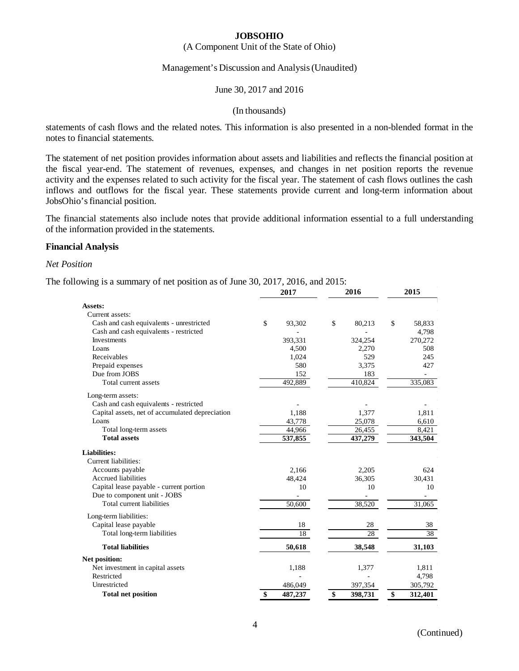# (A Component Unit of the State of Ohio)

#### Management's Discussion and Analysis(Unaudited)

## June 30, 2017 and 2016

#### (In thousands)

statements of cash flows and the related notes. This information is also presented in a non-blended format in the notes to financial statements.

The statement of net position provides information about assets and liabilities and reflects the financial position at the fiscal year-end. The statement of revenues, expenses, and changes in net position reports the revenue activity and the expenses related to such activity for the fiscal year. The statement of cash flows outlines the cash inflows and outflows for the fiscal year. These statements provide current and long-term information about JobsOhio'sfinancial position.

The financial statements also include notes that provide additional information essential to a full understanding of the information provided in the statements.

### **Financial Analysis**

### *Net Position*

The following is a summary of net position as of June 30, 2017, 2016, and 2015:

|                                                 | 2017          | 2016          | 2015                     |  |  |
|-------------------------------------------------|---------------|---------------|--------------------------|--|--|
| Assets:                                         |               |               |                          |  |  |
| Current assets:                                 |               |               |                          |  |  |
| Cash and cash equivalents - unrestricted        | \$<br>93,302  | \$<br>80,213  | \$<br>58,833             |  |  |
| Cash and cash equivalents - restricted          |               |               | 4,798                    |  |  |
| <b>Investments</b>                              | 393,331       | 324,254       | 270,272                  |  |  |
| Loans                                           | 4,500         | 2,270         | 508                      |  |  |
| Receivables                                     | 1,024         | 529           | 245                      |  |  |
| Prepaid expenses                                | 580           | 3,375         | 427                      |  |  |
| Due from JOBS                                   | 152           | 183           | $\overline{\phantom{a}}$ |  |  |
| Total current assets                            | 492,889       | 410,824       | 335,083                  |  |  |
| Long-term assets:                               |               |               |                          |  |  |
| Cash and cash equivalents - restricted          |               |               |                          |  |  |
| Capital assets, net of accumulated depreciation | 1,188         | 1,377         | 1,811                    |  |  |
| Loans                                           | 43,778        | 25,078        | 6,610                    |  |  |
| Total long-term assets                          | 44,966        | 26,455        | 8,421                    |  |  |
| <b>Total assets</b>                             | 537,855       | 437,279       | 343,504                  |  |  |
| <b>Liabilities:</b>                             |               |               |                          |  |  |
| Current liabilities:                            |               |               |                          |  |  |
| Accounts payable                                | 2,166         | 2,205         | 624                      |  |  |
| Accrued liabilities                             | 48,424        | 36,305        | 30,431                   |  |  |
| Capital lease payable - current portion         | 10            | 10            | 10                       |  |  |
| Due to component unit - JOBS                    |               |               |                          |  |  |
| Total current liabilities                       | 50,600        | 38,520        | 31,065                   |  |  |
| Long-term liabilities:                          |               |               |                          |  |  |
| Capital lease payable                           | 18            | 28            | 38                       |  |  |
| Total long-term liabilities                     | 18            | 28            | 38                       |  |  |
| <b>Total liabilities</b>                        | 50,618        | 38,548        | 31,103                   |  |  |
| Net position:                                   |               |               |                          |  |  |
| Net investment in capital assets                | 1,188         | 1,377         | 1,811                    |  |  |
| Restricted                                      |               |               | 4,798                    |  |  |
| Unrestricted                                    | 486,049       | 397,354       | 305,792                  |  |  |
| <b>Total net position</b>                       | \$<br>487,237 | \$<br>398,731 | \$<br>312,401            |  |  |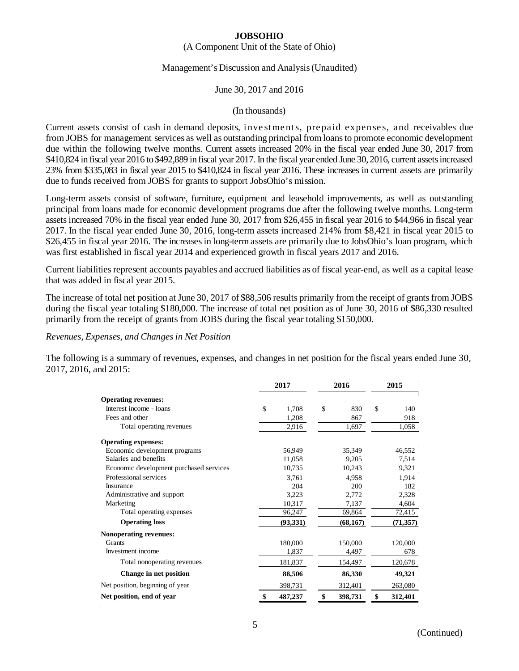# (A Component Unit of the State of Ohio)

## Management's Discussion and Analysis(Unaudited)

## June 30, 2017 and 2016

## (In thousands)

Current assets consist of cash in demand deposits, investments, prepaid expenses, and receivables due from JOBS for management services as well as outstanding principal from loans to promote economic development due within the following twelve months. Current assets increased 20% in the fiscal year ended June 30, 2017 from \$410,824 in fiscal year 2016 to \$492,889 in fiscal year 2017. In the fiscal year ended June 30, 2016, current assets increased 23% from \$335,083 in fiscal year 2015 to \$410,824 in fiscal year 2016. These increases in current assets are primarily due to funds received from JOBS for grants to support JobsOhio's mission.

Long-term assets consist of software, furniture, equipment and leasehold improvements, as well as outstanding principal from loans made for economic development programs due after the following twelve months. Long-term assets increased 70% in the fiscal year ended June 30, 2017 from \$26,455 in fiscal year 2016 to \$44,966 in fiscal year 2017. In the fiscal year ended June 30, 2016, long-term assets increased 214% from \$8,421 in fiscal year 2015 to \$26,455 in fiscal year 2016. The increases in long-term assets are primarily due to JobsOhio's loan program, which was first established in fiscal year 2014 and experienced growth in fiscal years 2017 and 2016.

Current liabilities represent accounts payables and accrued liabilities as of fiscal year-end, as well as a capital lease that was added in fiscal year 2015.

The increase of total net position at June 30, 2017 of \$88,506 results primarily from the receipt of grants from JOBS during the fiscal year totaling \$180,000. The increase of total net position as of June 30, 2016 of \$86,330 resulted primarily from the receipt of grants from JOBS during the fiscal year totaling \$150,000.

#### *Revenues, Expenses, and Changesin Net Position*

The following is a summary of revenues, expenses, and changes in net position for the fiscal years ended June 30, 2017, 2016, and 2015:

|                                         | 2017          | 2016          |               |  |
|-----------------------------------------|---------------|---------------|---------------|--|
| <b>Operating revenues:</b>              |               |               |               |  |
| Interest income - loans                 | \$<br>1,708   | \$<br>830     | \$<br>140     |  |
| Fees and other                          | 1,208         | 867           | 918           |  |
| Total operating revenues                | 2,916         | 1,697         | 1,058         |  |
| <b>Operating expenses:</b>              |               |               |               |  |
| Economic development programs           | 56,949        | 35,349        | 46,552        |  |
| Salaries and benefits                   | 11,058        | 9,205         | 7,514         |  |
| Economic development purchased services | 10,735        | 10,243        | 9,321         |  |
| Professional services                   | 3,761         | 4.958         | 1,914         |  |
| Insurance                               | 204           | 200           | 182           |  |
| Administrative and support              | 3,223         | 2,772         | 2,328         |  |
| Marketing                               | 10,317        | 7,137         | 4,604         |  |
| Total operating expenses                | 96,247        | 69,864        | 72,415        |  |
| <b>Operating loss</b>                   | (93, 331)     | (68, 167)     | (71, 357)     |  |
| Nonoperating revenues:                  |               |               |               |  |
| Grants                                  | 180,000       | 150,000       | 120,000       |  |
| Investment income                       | 1,837         | 4,497         | 678           |  |
| Total nonoperating revenues             | 181,837       | 154,497       | 120,678       |  |
| Change in net position                  | 88,506        | 86,330        | 49,321        |  |
| Net position, beginning of year         | 398,731       | 312,401       | 263,080       |  |
| Net position, end of year               | \$<br>487,237 | \$<br>398,731 | \$<br>312,401 |  |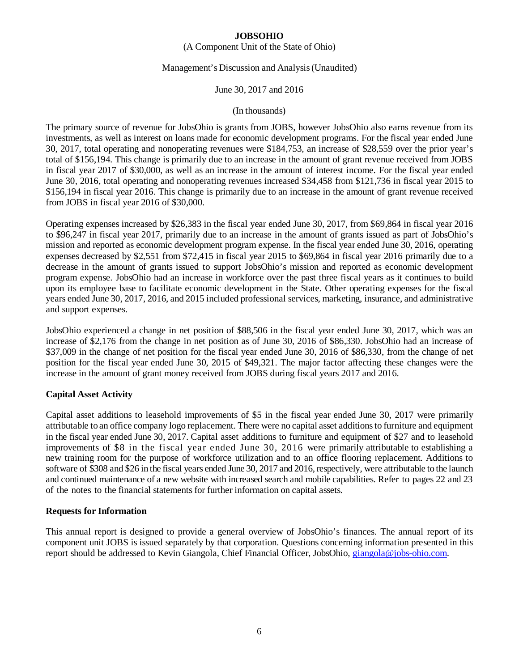# (A Component Unit of the State of Ohio)

# Management's Discussion and Analysis(Unaudited)

# June 30, 2017 and 2016

# (In thousands)

The primary source of revenue for JobsOhio is grants from JOBS, however JobsOhio also earns revenue from its investments, as well as interest on loans made for economic development programs. For the fiscal year ended June 30, 2017, total operating and nonoperating revenues were \$184,753, an increase of \$28,559 over the prior year's total of \$156,194. This change is primarily due to an increase in the amount of grant revenue received from JOBS in fiscal year 2017 of \$30,000, as well as an increase in the amount of interest income. For the fiscal year ended June 30, 2016, total operating and nonoperating revenues increased \$34,458 from \$121,736 in fiscal year 2015 to \$156,194 in fiscal year 2016. This change is primarily due to an increase in the amount of grant revenue received from JOBS in fiscal year 2016 of \$30,000.

Operating expenses increased by \$26,383 in the fiscal year ended June 30, 2017, from \$69,864 in fiscal year 2016 to \$96,247 in fiscal year 2017, primarily due to an increase in the amount of grants issued as part of JobsOhio's mission and reported as economic development program expense. In the fiscal year ended June 30, 2016, operating expenses decreased by \$2,551 from \$72,415 in fiscal year 2015 to \$69,864 in fiscal year 2016 primarily due to a decrease in the amount of grants issued to support JobsOhio's mission and reported as economic development program expense. JobsOhio had an increase in workforce over the past three fiscal years as it continues to build upon its employee base to facilitate economic development in the State. Other operating expenses for the fiscal years ended June 30, 2017, 2016, and 2015 included professional services, marketing, insurance, and administrative and support expenses.

JobsOhio experienced a change in net position of \$88,506 in the fiscal year ended June 30, 2017, which was an increase of \$2,176 from the change in net position as of June 30, 2016 of \$86,330. JobsOhio had an increase of \$37,009 in the change of net position for the fiscal year ended June 30, 2016 of \$86,330, from the change of net position for the fiscal year ended June 30, 2015 of \$49,321. The major factor affecting these changes were the increase in the amount of grant money received from JOBS during fiscal years 2017 and 2016.

# **Capital Asset Activity**

Capital asset additions to leasehold improvements of \$5 in the fiscal year ended June 30, 2017 were primarily attributable to an office company logo replacement. There were no capital asset additions to furniture and equipment in the fiscal year ended June 30, 2017. Capital asset additions to furniture and equipment of \$27 and to leasehold improvements of \$8 in the fiscal year ended June 30, 2016 were primarily attributable to establishing a new training room for the purpose of workforce utilization and to an office flooring replacement. Additions to software of \$308 and \$26 in the fiscal years ended June 30, 2017 and 2016, respectively, were attributable to the launch and continued maintenance of a new website with increased search and mobile capabilities. Refer to pages 22 and 23 of the notes to the financial statementsfor further information on capital assets.

# **Requests for Information**

This annual report is designed to provide a general overview of JobsOhio's finances. The annual report of its component unit JOBS is issued separately by that corporation. Questions concerning information presented in this report should be addressed to Kevin Giangola, Chief Financial Officer, JobsOhio, [giangola@jobs-ohio.com.](mailto:giangola@jobs-ohio.com)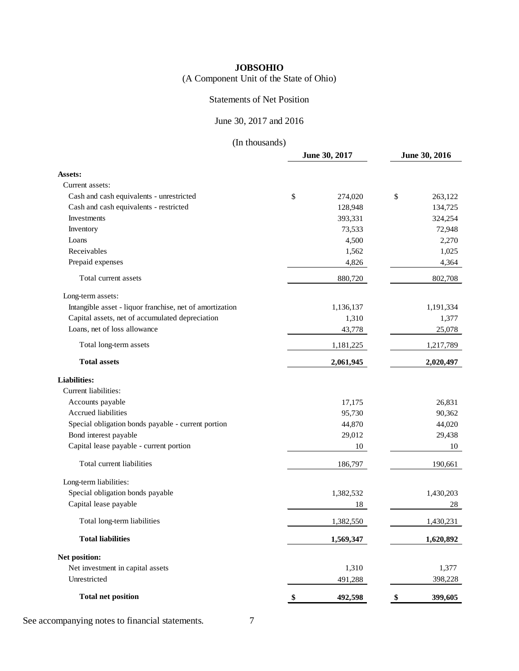(A Component Unit of the State of Ohio)

# Statements of Net Position

# June 30, 2017 and 2016

# (In thousands)

|                                                          | June 30, 2017 | June 30, 2016 |  |  |
|----------------------------------------------------------|---------------|---------------|--|--|
| Assets:                                                  |               |               |  |  |
| Current assets:                                          |               |               |  |  |
| Cash and cash equivalents - unrestricted                 | \$<br>274,020 | \$<br>263,122 |  |  |
| Cash and cash equivalents - restricted                   | 128,948       | 134,725       |  |  |
| Investments                                              | 393,331       | 324,254       |  |  |
| Inventory                                                | 73,533        | 72,948        |  |  |
| Loans                                                    | 4,500         | 2,270         |  |  |
| Receivables                                              | 1,562         | 1,025         |  |  |
| Prepaid expenses                                         | 4,826         | 4,364         |  |  |
| Total current assets                                     | 880,720       | 802,708       |  |  |
| Long-term assets:                                        |               |               |  |  |
| Intangible asset - liquor franchise, net of amortization | 1,136,137     | 1,191,334     |  |  |
| Capital assets, net of accumulated depreciation          | 1,310         | 1,377         |  |  |
| Loans, net of loss allowance                             | 43,778        | 25,078        |  |  |
| Total long-term assets                                   | 1,181,225     | 1,217,789     |  |  |
| <b>Total assets</b>                                      | 2,061,945     | 2,020,497     |  |  |
| <b>Liabilities:</b>                                      |               |               |  |  |
| Current liabilities:                                     |               |               |  |  |
| Accounts payable                                         | 17,175        | 26,831        |  |  |
| <b>Accrued liabilities</b>                               | 95,730        | 90,362        |  |  |
| Special obligation bonds payable - current portion       | 44,870        | 44,020        |  |  |
| Bond interest payable                                    | 29,012        | 29,438        |  |  |
| Capital lease payable - current portion                  | 10            | 10            |  |  |
| Total current liabilities                                | 186,797       | 190,661       |  |  |
| Long-term liabilities:                                   |               |               |  |  |
| Special obligation bonds payable                         | 1,382,532     | 1,430,203     |  |  |
| Capital lease payable                                    | 18            | 28            |  |  |
| Total long-term liabilities                              | 1,382,550     | 1,430,231     |  |  |
| <b>Total liabilities</b>                                 | 1,569,347     | 1,620,892     |  |  |
| Net position:                                            |               |               |  |  |
| Net investment in capital assets                         | 1,310         | 1,377         |  |  |
| Unrestricted                                             | 491,288       | 398,228       |  |  |
| <b>Total net position</b>                                | 492,598<br>\$ | 399,605<br>\$ |  |  |

See accompanying notes to financial statements.  $\frac{7}{4}$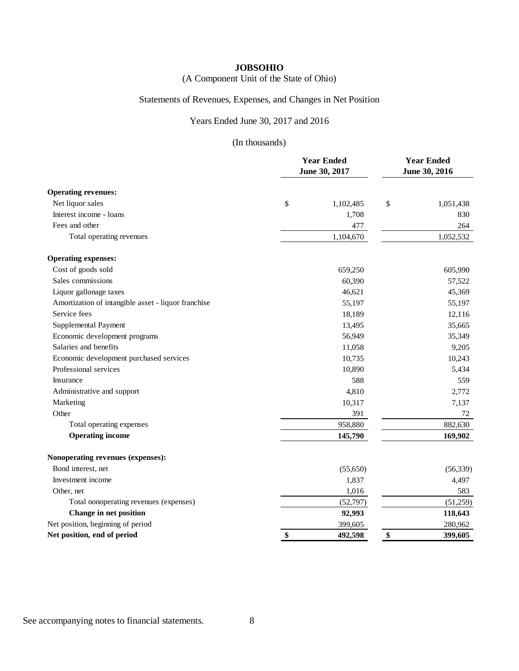# (A Component Unit of the State of Ohio)

# Statements of Revenues, Expenses, and Changes in Net Position

# Years Ended June 30, 2017 and 2016

|                                                     | <b>Year Ended</b><br>June 30, 2017 | <b>Year Ended</b><br>June 30, 2016 |           |  |
|-----------------------------------------------------|------------------------------------|------------------------------------|-----------|--|
| <b>Operating revenues:</b>                          |                                    |                                    |           |  |
| Net liquor sales                                    | \$<br>1,102,485                    | \$                                 | 1,051,438 |  |
| Interest income - loans                             | 1,708                              |                                    | 830       |  |
| Fees and other                                      | 477                                |                                    | 264       |  |
| Total operating revenues                            | 1,104,670                          |                                    | 1,052,532 |  |
| <b>Operating expenses:</b>                          |                                    |                                    |           |  |
| Cost of goods sold                                  | 659,250                            |                                    | 605,990   |  |
| Sales commissions                                   | 60,390                             |                                    | 57,522    |  |
| Liquor gallonage taxes                              | 46,621                             |                                    | 45,369    |  |
| Amortization of intangible asset - liquor franchise | 55,197                             |                                    | 55,197    |  |
| Service fees                                        | 18,189                             |                                    | 12,116    |  |
| Supplemental Payment                                | 13,495                             |                                    | 35,665    |  |
| Economic development programs                       | 56,949                             |                                    | 35,349    |  |
| Salaries and benefits                               | 11,058                             |                                    | 9,205     |  |
| Economic development purchased services             | 10,735                             |                                    | 10,243    |  |
| Professional services                               | 10,890                             |                                    | 5,434     |  |
| Insurance                                           | 588                                |                                    | 559       |  |
| Administrative and support                          | 4,810                              |                                    | 2,772     |  |
| Marketing                                           | 10,317                             |                                    | 7,137     |  |
| Other                                               | 391                                |                                    | 72        |  |
| Total operating expenses                            | 958,880                            |                                    | 882,630   |  |
| <b>Operating income</b>                             | 145,790                            |                                    | 169,902   |  |
| Nonoperating revenues (expenses):                   |                                    |                                    |           |  |
| Bond interest, net                                  | (55,650)                           |                                    | (56, 339) |  |
| Investment income                                   | 1,837                              |                                    | 4,497     |  |
| Other, net                                          | 1,016                              |                                    | 583       |  |
| Total nonoperating revenues (expenses)              | (52, 797)                          |                                    | (51,259)  |  |
| Change in net position                              | 92,993                             |                                    | 118,643   |  |
| Net position, beginning of period                   | 399,605                            |                                    | 280,962   |  |
| Net position, end of period                         | \$<br>492,598                      | \$                                 | 399,605   |  |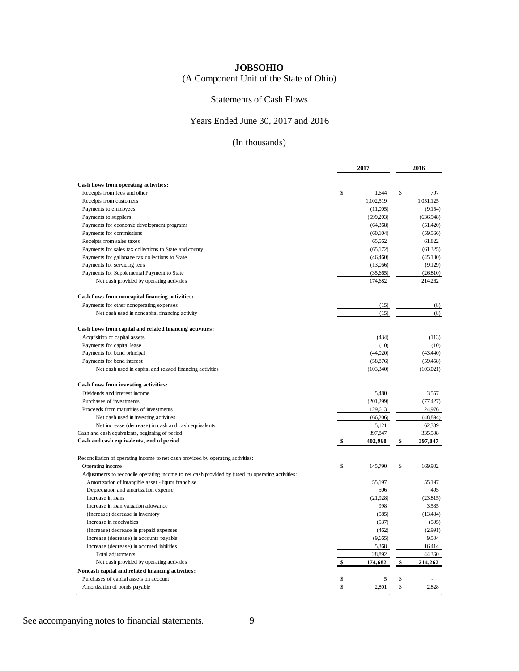(A Component Unit of the State of Ohio)

# Statements of Cash Flows

# Years Ended June 30, 2017 and 2016

# (In thousands)

|                                                                                                   | 2017          | 2016          |
|---------------------------------------------------------------------------------------------------|---------------|---------------|
| Cash flows from operating activities:                                                             |               |               |
| Receipts from fees and other                                                                      | \$<br>1,644   | \$<br>797     |
| Receipts from customers                                                                           | 1,102,519     | 1,051,125     |
| Payments to employees                                                                             | (11,005)      | (9, 154)      |
| Payments to suppliers                                                                             | (699,203)     | (636,948)     |
| Payments for economic development programs                                                        | (64,368)      | (51, 420)     |
| Payments for commissions                                                                          | (60, 104)     | (59, 566)     |
| Receipts from sales taxes                                                                         | 65,562        | 61,822        |
| Payments for sales tax collections to State and county                                            | (65,172)      | (61, 325)     |
| Payments for gallonage tax collections to State                                                   | (46, 460)     | (45, 130)     |
| Payments for servicing fees                                                                       | (13,066)      | (9,129)       |
| Payments for Supplemental Payment to State                                                        | (35,665)      | (26,810)      |
| Net cash provided by operating activities                                                         | 174,682       | 214,262       |
| Cash flows from noncapital financing activities:                                                  |               |               |
| Payments for other nonoperating expenses                                                          | (15)          | (8)           |
| Net cash used in noncapital financing activity                                                    | (15)          | (8)           |
| Cash flows from capital and related financing activities:                                         |               |               |
| Acquisition of capital assets                                                                     | (434)         | (113)         |
| Payments for capital lease                                                                        | (10)          | (10)          |
| Payments for bond principal                                                                       | (44,020)      | (43, 440)     |
| Payments for bond interest                                                                        | (58, 876)     | (59, 458)     |
| Net cash used in capital and related financing activities                                         | (103, 340)    | (103,021)     |
| Cash flows from investing activities:                                                             |               |               |
| Dividends and interest income                                                                     | 5,480         | 3,557         |
| Purchases of investments                                                                          | (201.299)     | (77, 427)     |
| Proceeds from maturities of investments                                                           | 129,613       | 24,976        |
| Net cash used in investing activities                                                             | (66,206)      | (48, 894)     |
| Net increase (decrease) in cash and cash equivalents                                              | 5,121         | 62,339        |
| Cash and cash equivalents, beginning of period                                                    | 397,847       | 335,508       |
| Cash and cash equivalents, end of period                                                          | \$<br>402,968 | \$<br>397,847 |
| Reconciliation of operating income to net cash provided by operating activities:                  |               |               |
| Operating income                                                                                  | \$<br>145.790 | \$<br>169.902 |
| Adjustments to reconcile operating income to net cash provided by (used in) operating activities: |               |               |
| Amortization of intangible asset - liquor franchise                                               | 55,197        | 55,197        |
| Depreciation and amortization expense                                                             | 506           | 495           |
| Increase in loans                                                                                 | (21,928)      | (23, 815)     |
| Increase in loan valuation allowance                                                              | 998           | 3,585         |
| (Increase) decrease in inventory                                                                  | (585)         | (13, 434)     |
| Increase in receivables                                                                           | (537)         | (595)         |
| (Increase) decrease in prepaid expenses                                                           | (462)         | (2,991)       |
| Increase (decrease) in accounts payable                                                           | (9,665)       | 9,504         |
| Increase (decrease) in accrued liabilities                                                        | 5,368         | 16,414        |
| Total adjustments                                                                                 | 28,892        | 44,360        |
| Net cash provided by operating activities                                                         | \$<br>174,682 | \$<br>214,262 |
| Noncash capital and related financing activities:                                                 |               |               |
| Purchases of capital assets on account                                                            | \$<br>5       | \$            |
| Amortization of bonds payable                                                                     | \$<br>2,801   | \$<br>2,828   |
|                                                                                                   |               |               |

See accompanying notes to financial statements. 9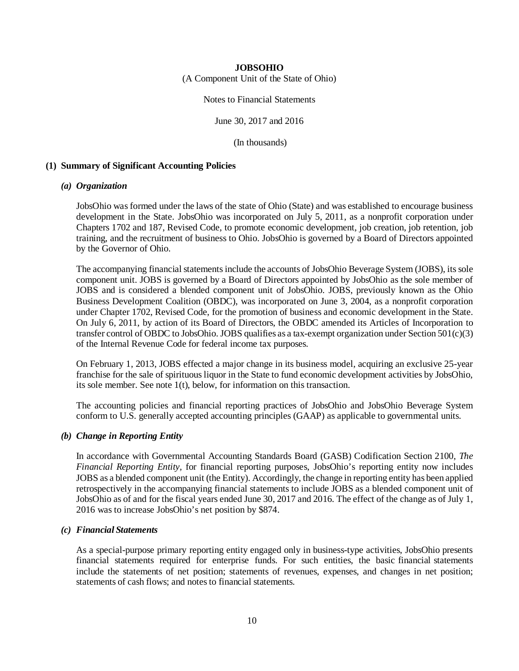(A Component Unit of the State of Ohio)

#### Notes to Financial Statements

June 30, 2017 and 2016

(In thousands)

### **(1) Summary of Significant Accounting Policies**

## *(a) Organization*

JobsOhio was formed under the laws of the state of Ohio (State) and was established to encourage business development in the State. JobsOhio was incorporated on July 5, 2011, as a nonprofit corporation under Chapters 1702 and 187, Revised Code, to promote economic development, job creation, job retention, job training, and the recruitment of business to Ohio. JobsOhio is governed by a Board of Directors appointed by the Governor of Ohio.

The accompanying financial statements include the accounts of JobsOhio Beverage System (JOBS), its sole component unit. JOBS is governed by a Board of Directors appointed by JobsOhio as the sole member of JOBS and is considered a blended component unit of JobsOhio. JOBS, previously known as the Ohio Business Development Coalition (OBDC), was incorporated on June 3, 2004, as a nonprofit corporation under Chapter 1702, Revised Code, for the promotion of business and economic development in the State. On July 6, 2011, by action of its Board of Directors, the OBDC amended its Articles of Incorporation to transfer control of OBDC to JobsOhio. JOBS qualifies as a tax-exempt organization under Section  $501(c)(3)$ of the Internal Revenue Code for federal income tax purposes.

On February 1, 2013, JOBS effected a major change in its business model, acquiring an exclusive 25-year franchise for the sale of spirituous liquor in the State to fund economic development activities by JobsOhio, its sole member. See note 1(t), below, for information on this transaction.

The accounting policies and financial reporting practices of JobsOhio and JobsOhio Beverage System conform to U.S. generally accepted accounting principles (GAAP) as applicable to governmental units.

# *(b) Change in Reporting Entity*

In accordance with Governmental Accounting Standards Board (GASB) Codification Section 2100, *The Financial Reporting Entity,* for financial reporting purposes, JobsOhio's reporting entity now includes JOBS as a blended component unit (the Entity). Accordingly, the change in reporting entity has been applied retrospectively in the accompanying financial statements to include JOBS as a blended component unit of JobsOhio as of and for the fiscal years ended June 30, 2017 and 2016. The effect of the change as of July 1, 2016 was to increase JobsOhio's net position by \$874.

## *(c) Financial Statements*

As a special-purpose primary reporting entity engaged only in business-type activities, JobsOhio presents financial statements required for enterprise funds. For such entities, the basic financial statements include the statements of net position; statements of revenues, expenses, and changes in net position; statements of cash flows; and notes to financial statements.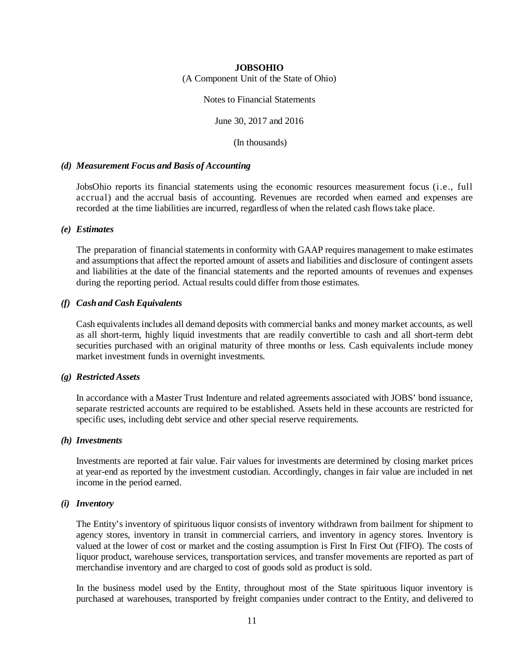(A Component Unit of the State of Ohio)

#### Notes to Financial Statements

June 30, 2017 and 2016

(In thousands)

#### *(d) Measurement Focus and Basis of Accounting*

JobsOhio reports its financial statements using the economic resources measurement focus (i.e., full accrual) and the accrual basis of accounting. Revenues are recorded when earned and expenses are recorded at the time liabilities are incurred, regardless of when the related cash flowstake place.

### *(e) Estimates*

The preparation of financial statements in conformity with GAAP requires management to make estimates and assumptions that affect the reported amount of assets and liabilities and disclosure of contingent assets and liabilities at the date of the financial statements and the reported amounts of revenues and expenses during the reporting period. Actual results could differ from those estimates.

### *(f) Cash and Cash Equivalents*

Cash equivalentsincludes all demand deposits with commercial banks and money market accounts, as well as all short-term, highly liquid investments that are readily convertible to cash and all short-term debt securities purchased with an original maturity of three months or less. Cash equivalents include money market investment funds in overnight investments.

## *(g) Restricted Assets*

In accordance with a Master Trust Indenture and related agreements associated with JOBS' bond issuance, separate restricted accounts are required to be established. Assets held in these accounts are restricted for specific uses, including debt service and other special reserve requirements.

#### *(h) Investments*

Investments are reported at fair value. Fair values for investments are determined by closing market prices at year-end as reported by the investment custodian. Accordingly, changes in fair value are included in net income in the period earned.

#### *(i) Inventory*

The Entity's inventory of spirituous liquor consists of inventory withdrawn from bailment for shipment to agency stores, inventory in transit in commercial carriers, and inventory in agency stores. Inventory is valued at the lower of cost or market and the costing assumption is First In First Out (FIFO). The costs of liquor product, warehouse services, transportation services, and transfer movements are reported as part of merchandise inventory and are charged to cost of goods sold as product is sold.

In the business model used by the Entity, throughout most of the State spirituous liquor inventory is purchased at warehouses, transported by freight companies under contract to the Entity, and delivered to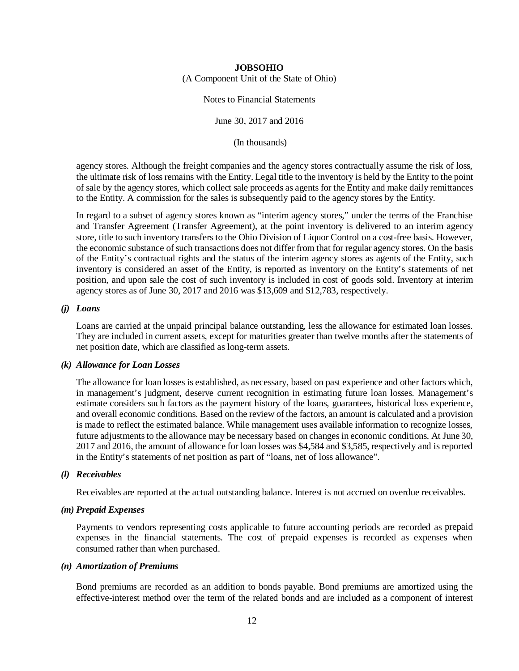(A Component Unit of the State of Ohio)

#### Notes to Financial Statements

June 30, 2017 and 2016

(In thousands)

agency stores. Although the freight companies and the agency stores contractually assume the risk of loss, the ultimate risk of loss remains with the Entity. Legal title to the inventory is held by the Entity to the point of sale by the agency stores, which collect sale proceeds as agents for the Entity and make daily remittances to the Entity. A commission for the sales is subsequently paid to the agency stores by the Entity.

In regard to a subset of agency stores known as "interim agency stores," under the terms of the Franchise and Transfer Agreement (Transfer Agreement), at the point inventory is delivered to an interim agency store, title to such inventory transfers to the Ohio Division of Liquor Control on a cost-free basis. However, the economic substance of such transactions does not differ from that for regular agency stores. On the basis of the Entity's contractual rights and the status of the interim agency stores as agents of the Entity, such inventory is considered an asset of the Entity, is reported as inventory on the Entity's statements of net position, and upon sale the cost of such inventory is included in cost of goods sold. Inventory at interim agency stores as of June 30, 2017 and 2016 was \$13,609 and \$12,783, respectively.

### *(j) Loans*

Loans are carried at the unpaid principal balance outstanding, less the allowance for estimated loan losses. They are included in current assets, except for maturities greater than twelve months after the statements of net position date, which are classified as long-term assets.

### *(k) Allowance for Loan Losses*

The allowance for loan losses is established, as necessary, based on past experience and other factors which, in management's judgment, deserve current recognition in estimating future loan losses. Management's estimate considers such factors as the payment history of the loans, guarantees, historical loss experience, and overall economic conditions. Based on the review of the factors, an amount is calculated and a provision is made to reflect the estimated balance. While management uses available information to recognize losses, future adjustments to the allowance may be necessary based on changes in economic conditions. At June 30, 2017 and 2016, the amount of allowance for loan losses was \$4,584 and \$3,585, respectively and is reported in the Entity's statements of net position as part of "loans, net of loss allowance".

# *(l) Receivables*

Receivables are reported at the actual outstanding balance. Interest is not accrued on overdue receivables.

### *(m) Prepaid Expenses*

Payments to vendors representing costs applicable to future accounting periods are recorded as prepaid expenses in the financial statements. The cost of prepaid expenses is recorded as expenses when consumed rather than when purchased.

### *(n) Amortization of Premiums*

Bond premiums are recorded as an addition to bonds payable. Bond premiums are amortized using the effective-interest method over the term of the related bonds and are included as a component of interest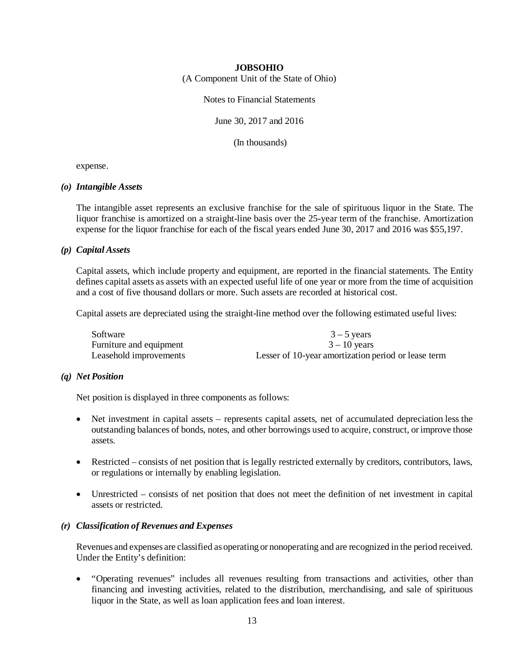(A Component Unit of the State of Ohio)

## Notes to Financial Statements

June 30, 2017 and 2016

(In thousands)

expense.

## *(o) Intangible Assets*

The intangible asset represents an exclusive franchise for the sale of spirituous liquor in the State. The liquor franchise is amortized on a straight-line basis over the 25-year term of the franchise. Amortization expense for the liquor franchise for each of the fiscal years ended June 30, 2017 and 2016 was \$55,197.

# *(p) Capital Assets*

Capital assets, which include property and equipment, are reported in the financial statements. The Entity defines capital assets as assets with an expected useful life of one year or more from the time of acquisition and a cost of five thousand dollars or more. Such assets are recorded at historical cost.

Capital assets are depreciated using the straight-line method over the following estimated useful lives:

| Software                | $3 - 5$ years                                       |
|-------------------------|-----------------------------------------------------|
| Furniture and equipment | $3 - 10$ vears                                      |
| Leasehold improvements  | Lesser of 10-year amortization period or lease term |

# *(q) Net Position*

Net position is displayed in three components as follows:

- Net investment in capital assets represents capital assets, net of accumulated depreciation less the outstanding balances of bonds, notes, and other borrowings used to acquire, construct, orimprove those assets.
- Restricted consists of net position that is legally restricted externally by creditors, contributors, laws, or regulations or internally by enabling legislation.
- Unrestricted consists of net position that does not meet the definition of net investment in capital assets or restricted.

# *(r) Classification of Revenues and Expenses*

Revenues and expenses are classified as operating or nonoperating and are recognized in the period received. Under the Entity's definition:

• "Operating revenues" includes all revenues resulting from transactions and activities, other than financing and investing activities, related to the distribution, merchandising, and sale of spirituous liquor in the State, as well as loan application fees and loan interest.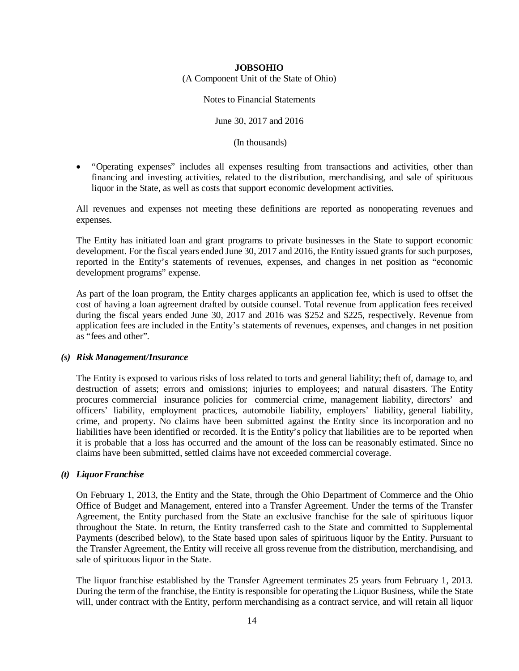(A Component Unit of the State of Ohio)

### Notes to Financial Statements

June 30, 2017 and 2016

(In thousands)

• "Operating expenses" includes all expenses resulting from transactions and activities, other than financing and investing activities, related to the distribution, merchandising, and sale of spirituous liquor in the State, as well as costs that support economic development activities.

All revenues and expenses not meeting these definitions are reported as nonoperating revenues and expenses.

The Entity has initiated loan and grant programs to private businesses in the State to support economic development. For the fiscal years ended June 30, 2017 and 2016, the Entity issued grants for such purposes, reported in the Entity's statements of revenues, expenses, and changes in net position as "economic development programs" expense.

As part of the loan program, the Entity charges applicants an application fee, which is used to offset the cost of having a loan agreement drafted by outside counsel. Total revenue from application fees received during the fiscal years ended June 30, 2017 and 2016 was \$252 and \$225, respectively. Revenue from application fees are included in the Entity's statements of revenues, expenses, and changes in net position as "fees and other".

## *(s) Risk Management/Insurance*

The Entity is exposed to various risks of loss related to torts and general liability; theft of, damage to, and destruction of assets; errors and omissions; injuries to employees; and natural disasters. The Entity procures commercial insurance policies for commercial crime, management liability, directors' and officers' liability, employment practices, automobile liability, employers' liability, general liability, crime, and property. No claims have been submitted against the Entity since its incorporation and no liabilities have been identified or recorded. It is the Entity's policy that liabilities are to be reported when it is probable that a loss has occurred and the amount of the loss can be reasonably estimated. Since no claims have been submitted, settled claims have not exceeded commercial coverage.

## *(t) LiquorFranchise*

On February 1, 2013, the Entity and the State, through the Ohio Department of Commerce and the Ohio Office of Budget and Management, entered into a Transfer Agreement. Under the terms of the Transfer Agreement, the Entity purchased from the State an exclusive franchise for the sale of spirituous liquor throughout the State. In return, the Entity transferred cash to the State and committed to Supplemental Payments (described below), to the State based upon sales of spirituous liquor by the Entity. Pursuant to the Transfer Agreement, the Entity will receive all gross revenue from the distribution, merchandising, and sale of spirituous liquor in the State.

The liquor franchise established by the Transfer Agreement terminates 25 years from February 1, 2013. During the term of the franchise, the Entity is responsible for operating the Liquor Business, while the State will, under contract with the Entity, perform merchandising as a contract service, and will retain all liquor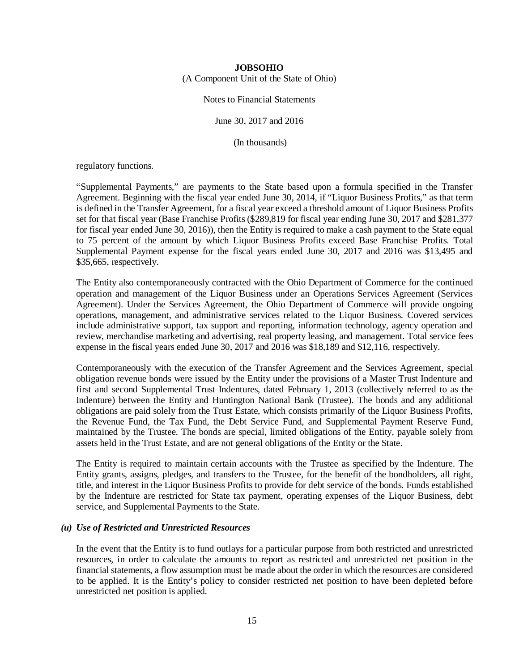(A Component Unit of the State of Ohio)

### Notes to Financial Statements

June 30, 2017 and 2016

(In thousands)

regulatory functions.

"Supplemental Payments," are payments to the State based upon a formula specified in the Transfer Agreement. Beginning with the fiscal year ended June 30, 2014, if "Liquor Business Profits," as that term is defined in the Transfer Agreement, for a fiscal year exceed a threshold amount of Liquor Business Profits set for that fiscal year (Base Franchise Profits (\$289,819 for fiscal year ending June 30, 2017 and \$281,377 for fiscal year ended June 30, 2016)), then the Entity is required to make a cash payment to the State equal to 75 percent of the amount by which Liquor Business Profits exceed Base Franchise Profits. Total Supplemental Payment expense for the fiscal years ended June 30, 2017 and 2016 was \$13,495 and \$35,665, respectively.

The Entity also contemporaneously contracted with the Ohio Department of Commerce for the continued operation and management of the Liquor Business under an Operations Services Agreement (Services Agreement). Under the Services Agreement, the Ohio Department of Commerce will provide ongoing operations, management, and administrative services related to the Liquor Business. Covered services include administrative support, tax support and reporting, information technology, agency operation and review, merchandise marketing and advertising, real property leasing, and management. Total service fees expense in the fiscal years ended June 30, 2017 and 2016 was \$18,189 and \$12,116, respectively.

Contemporaneously with the execution of the Transfer Agreement and the Services Agreement, special obligation revenue bonds were issued by the Entity under the provisions of a Master Trust Indenture and first and second Supplemental Trust Indentures, dated February 1, 2013 (collectively referred to as the Indenture) between the Entity and Huntington National Bank (Trustee). The bonds and any additional obligations are paid solely from the Trust Estate, which consists primarily of the Liquor Business Profits, the Revenue Fund, the Tax Fund, the Debt Service Fund, and Supplemental Payment Reserve Fund, maintained by the Trustee. The bonds are special, limited obligations of the Entity, payable solely from assets held in the Trust Estate, and are not general obligations of the Entity or the State.

The Entity is required to maintain certain accounts with the Trustee as specified by the Indenture. The Entity grants, assigns, pledges, and transfers to the Trustee, for the benefit of the bondholders, all right, title, and interest in the Liquor Business Profits to provide for debt service of the bonds. Funds established by the Indenture are restricted for State tax payment, operating expenses of the Liquor Business, debt service, and Supplemental Payments to the State.

## *(u) Use of Restricted and Unrestricted Resources*

In the event that the Entity is to fund outlays for a particular purpose from both restricted and unrestricted resources, in order to calculate the amounts to report as restricted and unrestricted net position in the financial statements, a flow assumption must be made about the order in which the resources are considered to be applied. It is the Entity's policy to consider restricted net position to have been depleted before unrestricted net position is applied.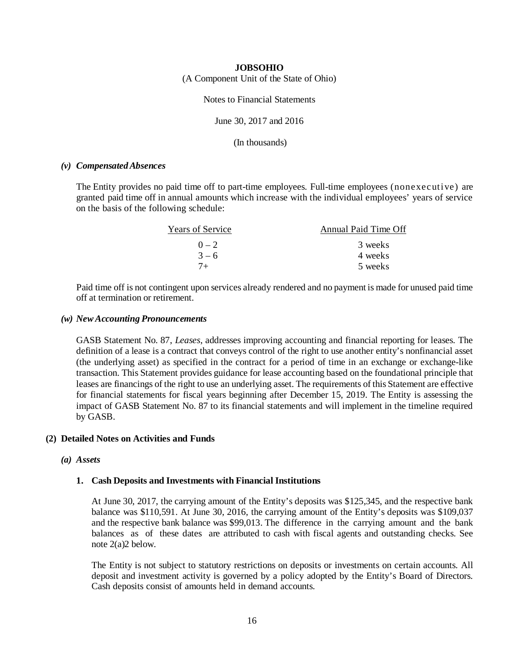(A Component Unit of the State of Ohio)

## Notes to Financial Statements

June 30, 2017 and 2016

(In thousands)

## *(v) CompensatedAbsences*

The Entity provides no paid time off to part-time employees. Full-time employees (nonexecutive) are granted paid time off in annual amounts which increase with the individual employees' years of service on the basis of the following schedule:

| <b>Years of Service</b> | Annual Paid Time Off |
|-------------------------|----------------------|
| $0 - 2$                 | 3 weeks              |
| $3 - 6$                 | 4 weeks              |
| $7+$                    | 5 weeks              |

Paid time off is not contingent upon services already rendered and no payment is made for unused paid time off at termination or retirement.

# *(w) New Accounting Pronouncements*

GASB Statement No. 87, *Leases*, addresses improving accounting and financial reporting for leases. The definition of a lease is a contract that conveys control of the right to use another entity's nonfinancial asset (the underlying asset) as specified in the contract for a period of time in an exchange or exchange-like transaction. This Statement provides guidance for lease accounting based on the foundational principle that leases are financings of the right to use an underlying asset. The requirements of this Statement are effective for financial statements for fiscal years beginning after December 15, 2019. The Entity is assessing the impact of GASB Statement No. 87 to its financial statements and will implement in the timeline required by GASB.

# **(2) Detailed Notes on Activities and Funds**

# *(a) Assets*

# **1. Cash Deposits and Investments with Financial Institutions**

At June 30, 2017, the carrying amount of the Entity's deposits was \$125,345, and the respective bank balance was \$110,591. At June 30, 2016, the carrying amount of the Entity's deposits was \$109,037 and the respective bank balance was \$99,013. The difference in the carrying amount and the bank balances as of these dates are attributed to cash with fiscal agents and outstanding checks. See note 2(a)2 below.

The Entity is not subject to statutory restrictions on deposits or investments on certain accounts. All deposit and investment activity is governed by a policy adopted by the Entity's Board of Directors. Cash deposits consist of amounts held in demand accounts.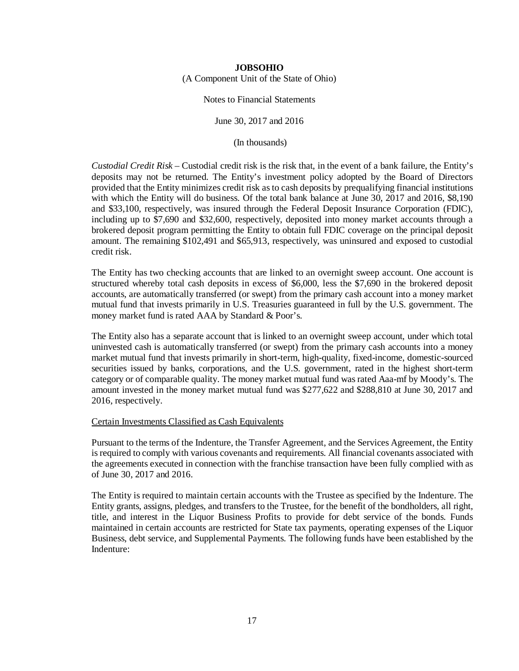(A Component Unit of the State of Ohio)

#### Notes to Financial Statements

June 30, 2017 and 2016

(In thousands)

*Custodial Credit Risk* – Custodial credit risk is the risk that, in the event of a bank failure, the Entity's deposits may not be returned. The Entity's investment policy adopted by the Board of Directors provided that the Entity minimizes credit risk as to cash deposits by prequalifying financial institutions with which the Entity will do business. Of the total bank balance at June 30, 2017 and 2016, \$8,190 and \$33,100, respectively, was insured through the Federal Deposit Insurance Corporation (FDIC), including up to \$7,690 and \$32,600, respectively, deposited into money market accounts through a brokered deposit program permitting the Entity to obtain full FDIC coverage on the principal deposit amount. The remaining \$102,491 and \$65,913, respectively, was uninsured and exposed to custodial credit risk.

The Entity has two checking accounts that are linked to an overnight sweep account. One account is structured whereby total cash deposits in excess of \$6,000, less the \$7,690 in the brokered deposit accounts, are automatically transferred (or swept) from the primary cash account into a money market mutual fund that invests primarily in U.S. Treasuries guaranteed in full by the U.S. government. The money market fund is rated AAA by Standard & Poor's.

The Entity also has a separate account that is linked to an overnight sweep account, under which total uninvested cash is automatically transferred (or swept) from the primary cash accounts into a money market mutual fund that invests primarily in short-term, high-quality, fixed-income, domestic-sourced securities issued by banks, corporations, and the U.S. government, rated in the highest short-term category or of comparable quality. The money market mutual fund was rated Aaa-mf by Moody's. The amount invested in the money market mutual fund was \$277,622 and \$288,810 at June 30, 2017 and 2016, respectively.

#### Certain Investments Classified as Cash Equivalents

Pursuant to the terms of the Indenture, the Transfer Agreement, and the Services Agreement, the Entity is required to comply with various covenants and requirements. All financial covenants associated with the agreements executed in connection with the franchise transaction have been fully complied with as of June 30, 2017 and 2016.

The Entity is required to maintain certain accounts with the Trustee as specified by the Indenture. The Entity grants, assigns, pledges, and transfers to the Trustee, for the benefit of the bondholders, all right, title, and interest in the Liquor Business Profits to provide for debt service of the bonds. Funds maintained in certain accounts are restricted for State tax payments, operating expenses of the Liquor Business, debt service, and Supplemental Payments. The following funds have been established by the Indenture: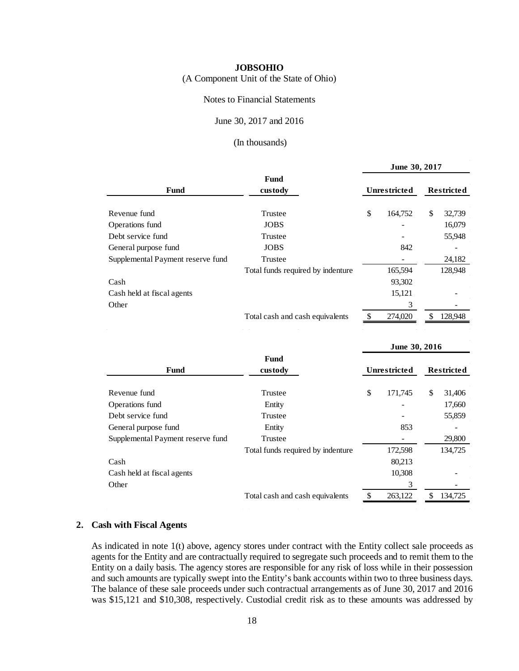(A Component Unit of the State of Ohio)

# Notes to Financial Statements

### June 30, 2017 and 2016

#### (In thousands)

|                                   |                                   |                           | June 30, 2017            |            |            |
|-----------------------------------|-----------------------------------|---------------------------|--------------------------|------------|------------|
|                                   | Fund                              |                           |                          |            |            |
| Fund                              | custody                           |                           | Unrestricted             |            | Restricted |
|                                   |                                   |                           |                          |            |            |
| Revenue fund                      | Trustee                           | \$                        | 164,752                  | \$         | 32,739     |
| Operations fund                   | <b>JOBS</b>                       |                           |                          |            | 16,079     |
| Debt service fund                 | Trustee                           |                           |                          |            | 55,948     |
| General purpose fund              | <b>JOBS</b>                       |                           | 842                      |            |            |
| Supplemental Payment reserve fund | Trustee                           |                           |                          |            | 24,182     |
|                                   | Total funds required by indenture |                           | 165,594                  |            | 128,948    |
| Cash                              |                                   |                           | 93,302                   |            |            |
| Cash held at fiscal agents        |                                   |                           | 15,121                   |            |            |
| Other                             |                                   |                           | 3                        |            |            |
|                                   | Total cash and cash equivalents   | $\boldsymbol{\mathsf{S}}$ | 274,020                  | \$         | 128,948    |
|                                   |                                   |                           |                          |            |            |
|                                   |                                   |                           | June 30, 2016            |            |            |
|                                   | Fund                              |                           |                          |            |            |
| Fund                              | custody                           |                           | Unrestricted             | Restricted |            |
|                                   |                                   |                           |                          |            |            |
| Revenue fund                      | Trustee                           | \$                        | 171,745                  | \$         | 31,406     |
| Operations fund                   | Entity                            |                           |                          |            | 17,660     |
| Debt service fund                 | Trustee                           |                           |                          |            | 55,859     |
| General purpose fund              | Entity                            |                           | 853                      |            |            |
| Supplemental Payment reserve fund | Trustee                           |                           | $\overline{\phantom{a}}$ |            | 29,800     |
|                                   | Total funds required by indenture |                           | 172,598                  |            | 134,725    |
| Cash                              |                                   |                           | 80,213                   |            |            |
| Cash held at fiscal agents        |                                   |                           | 10,308                   |            |            |
| Other                             |                                   |                           | 3                        |            |            |
|                                   | Total cash and cash equivalents   | \$                        | 263,122                  | \$         | 134,725    |
|                                   |                                   |                           |                          |            |            |

### **2. Cash with Fiscal Agents**

As indicated in note 1(t) above, agency stores under contract with the Entity collect sale proceeds as agents for the Entity and are contractually required to segregate such proceeds and to remit them to the Entity on a daily basis. The agency stores are responsible for any risk of loss while in their possession and such amounts are typically swept into the Entity's bank accounts within two to three business days. The balance of these sale proceeds under such contractual arrangements as of June 30, 2017 and 2016 was \$15,121 and \$10,308, respectively. Custodial credit risk as to these amounts was addressed by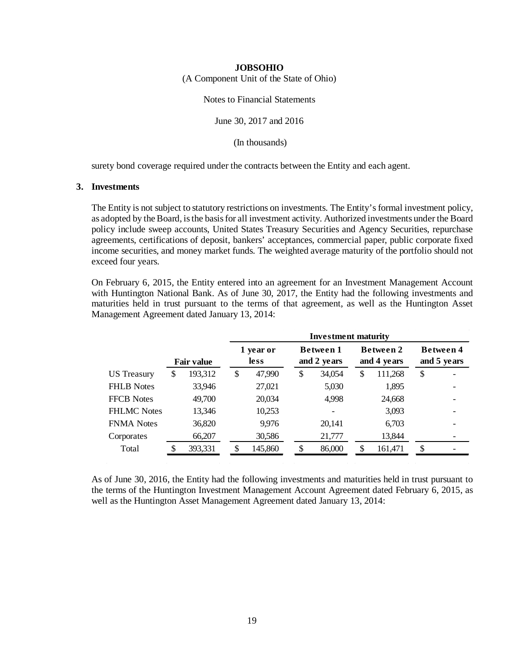(A Component Unit of the State of Ohio)

Notes to Financial Statements

June 30, 2017 and 2016

(In thousands)

surety bond coverage required under the contracts between the Entity and each agent.

## **3. Investments**

The Entity is not subject to statutory restrictions on investments. The Entity's formal investment policy, as adopted by the Board, is the basis for all investment activity. Authorized investments under the Board policy include sweep accounts, United States Treasury Securities and Agency Securities, repurchase agreements, certifications of deposit, bankers' acceptances, commercial paper, public corporate fixed income securities, and money market funds. The weighted average maturity of the portfolio should not exceed four years.

On February 6, 2015, the Entity entered into an agreement for an Investment Management Account with Huntington National Bank. As of June 30, 2017, the Entity had the following investments and maturities held in trust pursuant to the terms of that agreement, as well as the Huntington Asset Management Agreement dated January 13, 2014:

|                    |                   |                   | <b>Investment maturity</b> |                                 |        |                                 |         |                                 |  |  |  |  |
|--------------------|-------------------|-------------------|----------------------------|---------------------------------|--------|---------------------------------|---------|---------------------------------|--|--|--|--|
|                    | <b>Fair value</b> | 1 year or<br>less |                            | <b>Between 1</b><br>and 2 years |        | <b>Between 2</b><br>and 4 years |         | <b>Between 4</b><br>and 5 years |  |  |  |  |
| <b>US</b> Treasury | \$<br>193,312     | \$                | 47,990                     | \$                              | 34,054 | \$                              | 111,268 | \$                              |  |  |  |  |
| <b>FHLB</b> Notes  | 33,946            |                   | 27,021                     |                                 | 5,030  |                                 | 1,895   |                                 |  |  |  |  |
| <b>FFCB</b> Notes  | 49,700            |                   | 20,034                     |                                 | 4,998  |                                 | 24,668  |                                 |  |  |  |  |
| <b>FHLMC</b> Notes | 13,346            |                   | 10,253                     |                                 |        |                                 | 3,093   |                                 |  |  |  |  |
| <b>FNMA</b> Notes  | 36,820            |                   | 9.976                      |                                 | 20,141 |                                 | 6,703   |                                 |  |  |  |  |
| Corporates         | 66,207            |                   | 30,586                     |                                 | 21,777 |                                 | 13,844  |                                 |  |  |  |  |
| Total              | 393,331           | S                 | 145,860                    |                                 | 86,000 | S                               | 161,471 |                                 |  |  |  |  |

As of June 30, 2016, the Entity had the following investments and maturities held in trust pursuant to the terms of the Huntington Investment Management Account Agreement dated February 6, 2015, as well as the Huntington Asset Management Agreement dated January 13, 2014: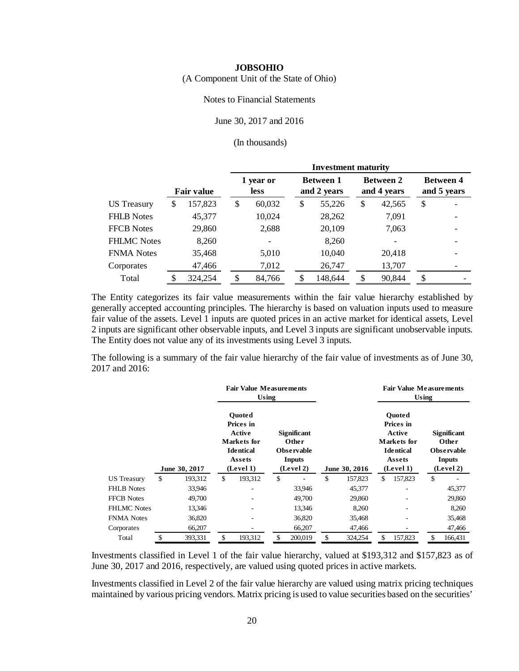(A Component Unit of the State of Ohio)

## Notes to Financial Statements

### June 30, 2017 and 2016

#### (In thousands)

|                    |    | <b>Fair value</b> | 1 year or<br><b>less</b> |        | <b>Between 1</b><br>and 2 years |         | <b>Between 2</b><br>and 4 years |        | <b>Between 4</b><br>and 5 years |
|--------------------|----|-------------------|--------------------------|--------|---------------------------------|---------|---------------------------------|--------|---------------------------------|
| US Treasury        | \$ | 157,823           | \$                       | 60,032 | \$                              | 55,226  | \$                              | 42,565 | \$                              |
| <b>FHLB</b> Notes  |    | 45,377            |                          | 10,024 |                                 | 28,262  |                                 | 7.091  |                                 |
| <b>FFCB</b> Notes  |    | 29,860            |                          | 2,688  |                                 | 20,109  |                                 | 7,063  |                                 |
| <b>FHLMC</b> Notes |    | 8,260             |                          |        |                                 | 8,260   |                                 |        |                                 |
| <b>FNMA</b> Notes  |    | 35,468            |                          | 5,010  |                                 | 10,040  |                                 | 20,418 |                                 |
| Corporates         |    | 47,466            |                          | 7,012  |                                 | 26,747  |                                 | 13,707 |                                 |
| Total              |    | 324.254           | \$                       | 84,766 |                                 | 148,644 | \$                              | 90,844 | \$                              |

The Entity categorizes its fair value measurements within the fair value hierarchy established by generally accepted accounting principles. The hierarchy is based on valuation inputs used to measure fair value of the assets. Level 1 inputs are quoted prices in an active market for identical assets, Level 2 inputs are significant other observable inputs, and Level 3 inputs are significant unobservable inputs. The Entity does not value any of its investments using Level 3 inputs.

The following is a summary of the fair value hierarchy of the fair value of investments as of June 30, 2017 and 2016:

|                    |               |         | <b>Fair Value Measurements</b><br><b>Using</b>                                                 |         |                                                                                       |         |    |               | <b>Fair Value Measurements</b>                                                                 | Using                                                                          |         |
|--------------------|---------------|---------|------------------------------------------------------------------------------------------------|---------|---------------------------------------------------------------------------------------|---------|----|---------------|------------------------------------------------------------------------------------------------|--------------------------------------------------------------------------------|---------|
|                    | June 30, 2017 |         | <b>Ouoted</b><br>Prices in<br>Active<br>Markets for<br><b>Identical</b><br>Assets<br>(Level 1) |         | <b>Significant</b><br><b>Other</b><br><b>Observable</b><br><b>Inputs</b><br>(Level 2) |         |    | June 30, 2016 | <b>Ouoted</b><br>Prices in<br>Active<br>Markets for<br><b>Identical</b><br>Assets<br>(Level 1) | <b>Significant</b><br>Other<br><b>Observable</b><br><b>Inputs</b><br>(Level 2) |         |
| US Treasury        | \$            | 193,312 | \$                                                                                             | 193,312 | \$                                                                                    |         | \$ | 157,823       | \$<br>157,823                                                                                  | \$                                                                             |         |
| <b>FHLB</b> Notes  |               | 33,946  |                                                                                                |         |                                                                                       | 33,946  |    | 45,377        |                                                                                                |                                                                                | 45,377  |
| <b>FFCB</b> Notes  |               | 49,700  |                                                                                                |         |                                                                                       | 49,700  |    | 29,860        |                                                                                                |                                                                                | 29,860  |
| <b>FHLMC</b> Notes |               | 13,346  |                                                                                                |         |                                                                                       | 13,346  |    | 8.260         |                                                                                                |                                                                                | 8,260   |
| <b>FNMA</b> Notes  |               | 36,820  |                                                                                                |         |                                                                                       | 36,820  |    | 35,468        |                                                                                                |                                                                                | 35,468  |
| Corporates         |               | 66,207  |                                                                                                |         |                                                                                       | 66,207  |    | 47,466        |                                                                                                |                                                                                | 47,466  |
| Total              | \$            | 393,331 | \$                                                                                             | 193,312 | \$                                                                                    | 200,019 | \$ | 324,254       | \$<br>157,823                                                                                  | \$                                                                             | 166,431 |

Investments classified in Level 1 of the fair value hierarchy, valued at \$193,312 and \$157,823 as of June 30, 2017 and 2016, respectively, are valued using quoted prices in active markets.

Investments classified in Level 2 of the fair value hierarchy are valued using matrix pricing techniques maintained by various pricing vendors. Matrix pricing is used to value securities based on the securities'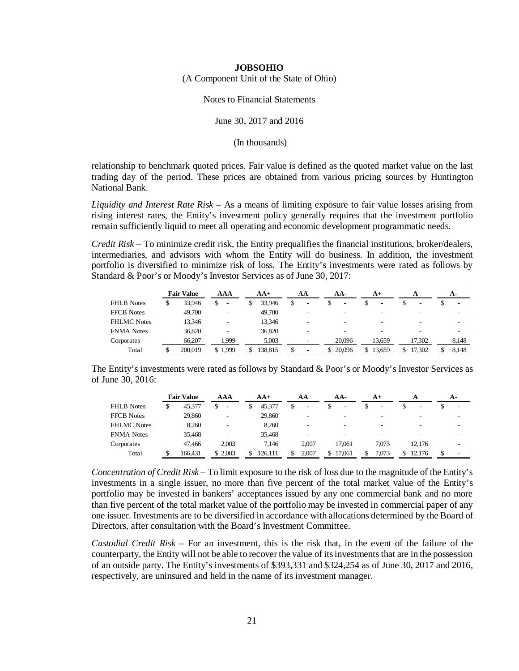(A Component Unit of the State of Ohio)

#### Notes to Financial Statements

#### June 30, 2017 and 2016

(In thousands)

relationship to benchmark quoted prices. Fair value is defined as the quoted market value on the last trading day of the period. These prices are obtained from various pricing sources by Huntington National Bank.

*Liquidity and Interest Rate Risk* – As a means of limiting exposure to fair value losses arising from rising interest rates, the Entity's investment policy generally requires that the investment portfolio remain sufficiently liquid to meet all operating and economic development programmatic needs.

*Credit Risk* – To minimize credit risk, the Entity prequalifies the financial institutions, broker/dealers, intermediaries, and advisors with whom the Entity will do business. In addition, the investment portfolio is diversified to minimize risk of loss. The Entity's investments were rated as follows by Standard & Poor's or Moody's Investor Services as of June 30, 2017:

|                    | <b>Fair Value</b> | AAA     | $AA+$   | AA |    | AA-    | A+       |        | А-    |
|--------------------|-------------------|---------|---------|----|----|--------|----------|--------|-------|
| <b>FHLB</b> Notes  | 33,946            |         | 33.946  |    |    |        | ۰        |        |       |
| <b>FFCB</b> Notes  | 49,700            | -       | 49,700  |    |    |        |          |        |       |
| <b>FHLMC</b> Notes | 13,346            |         | 13,346  |    |    | -      |          |        |       |
| <b>FNMA</b> Notes  | 36,820            |         | 36,820  |    |    | -      | ۰        |        |       |
| Corporates         | 66.207            | .999    | 5.003   |    |    | 20.096 | 13.659   | 17.302 | 8.148 |
| Total              | 200,019           | \$1,999 | 138.815 |    | S. | 20,096 | \$13.659 | 17.302 | 8.148 |

The Entity's investments were rated as follows by Standard & Poor's or Moody's Investor Services as of June 30, 2016:

|                    | <b>Fair Value</b> | AAA                      | $AA+$   | AA    | $AA-$                    | $A+$  |        | А- |
|--------------------|-------------------|--------------------------|---------|-------|--------------------------|-------|--------|----|
| <b>FHLB</b> Notes  | 45.377            |                          | 45.377  |       | $\overline{\phantom{a}}$ | -     | -      |    |
| <b>FFCB</b> Notes  | 29,860            | $\overline{a}$           | 29,860  |       |                          |       |        |    |
| <b>FHLMC</b> Notes | 8,260             | $\overline{\phantom{0}}$ | 8,260   |       |                          | ۰     | -      |    |
| <b>FNMA</b> Notes  | 35.468            |                          | 35.468  |       |                          |       |        |    |
| Corporates         | 47.466            | 2,003                    | 7.146   | 2.007 | 17.061                   | 7.073 | 12.176 |    |
| Total              | 166.431           | \$2,003                  | 126.111 | 2.007 | 17.061                   | 7.073 | 12,176 |    |

*Concentration of Credit Risk* – To limit exposure to the risk of loss due to the magnitude of the Entity's investments in a single issuer, no more than five percent of the total market value of the Entity's portfolio may be invested in bankers' acceptances issued by any one commercial bank and no more than five percent of the total market value of the portfolio may be invested in commercial paper of any one issuer. Investments are to be diversified in accordance with allocations determined by the Board of Directors, after consultation with the Board's Investment Committee.

*Custodial Credit Risk* – For an investment, this is the risk that, in the event of the failure of the counterparty, the Entity will not be able to recover the value of its investments that are in the possession of an outside party. The Entity's investments of \$393,331 and \$324,254 as of June 30, 2017 and 2016, respectively, are uninsured and held in the name of its investment manager.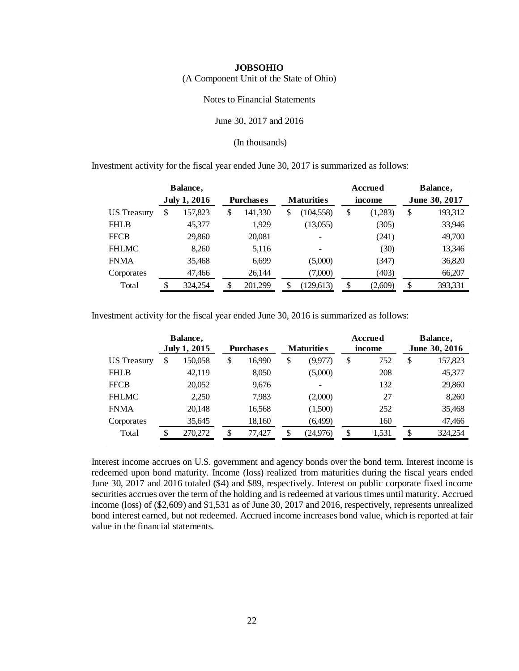(A Component Unit of the State of Ohio)

## Notes to Financial Statements

June 30, 2017 and 2016

(In thousands)

Investment activity for the fiscal year ended June 30, 2017 is summarized as follows:

|                    | Balance,            |                  |         |                   |            |        | Accrued | Balance,      |  |               |
|--------------------|---------------------|------------------|---------|-------------------|------------|--------|---------|---------------|--|---------------|
|                    | <b>July 1, 2016</b> | <b>Purchases</b> |         | <b>Maturities</b> |            | income |         |               |  | June 30, 2017 |
| <b>US</b> Treasury | \$<br>157,823       | \$               | 141,330 | \$                | (104, 558) | \$     | (1,283) | \$<br>193,312 |  |               |
| <b>FHLB</b>        | 45,377              |                  | 1,929   |                   | (13,055)   |        | (305)   | 33,946        |  |               |
| <b>FFCB</b>        | 29,860              |                  | 20,081  |                   |            |        | (241)   | 49,700        |  |               |
| <b>FHLMC</b>       | 8,260               |                  | 5,116   |                   |            |        | (30)    | 13,346        |  |               |
| <b>FNMA</b>        | 35,468              |                  | 6,699   |                   | (5,000)    |        | (347)   | 36,820        |  |               |
| Corporates         | 47,466              |                  | 26,144  |                   | (7,000)    |        | (403)   | 66,207        |  |               |
| Total              | \$<br>324,254       |                  | 201,299 |                   | (129, 613) | \$     | (2,609) | \$<br>393,331 |  |               |

Investment activity for the fiscal year ended June 30, 2016 is summarized as follows:

|              |                     | Balance, |                  |        |                   |           |        | Accrued |    | Balance,      |
|--------------|---------------------|----------|------------------|--------|-------------------|-----------|--------|---------|----|---------------|
|              | <b>July 1, 2015</b> |          | <b>Purchases</b> |        | <b>Maturities</b> |           | income |         |    | June 30, 2016 |
| US Treasury  | \$                  | 150,058  | \$               | 16,990 | \$                | (9,977)   | \$     | 752     | \$ | 157,823       |
| <b>FHLB</b>  |                     | 42,119   |                  | 8,050  |                   | (5,000)   |        | 208     |    | 45,377        |
| <b>FFCB</b>  |                     | 20,052   |                  | 9,676  |                   |           |        | 132     |    | 29,860        |
| <b>FHLMC</b> |                     | 2,250    |                  | 7,983  |                   | (2,000)   |        | 27      |    | 8,260         |
| <b>FNMA</b>  |                     | 20,148   |                  | 16,568 |                   | (1,500)   |        | 252     |    | 35,468        |
| Corporates   |                     | 35,645   |                  | 18,160 |                   | (6,499)   |        | 160     |    | 47,466        |
| Total        | ¢                   | 270,272  | \$               | 77,427 |                   | (24, 976) | £.     | 1,531   | S  | 324,254       |
|              |                     |          |                  |        |                   |           |        |         |    |               |

Interest income accrues on U.S. government and agency bonds over the bond term. Interest income is redeemed upon bond maturity. Income (loss) realized from maturities during the fiscal years ended June 30, 2017 and 2016 totaled (\$4) and \$89, respectively. Interest on public corporate fixed income securities accrues over the term of the holding and is redeemed at various times until maturity. Accrued income (loss) of (\$2,609) and \$1,531 as of June 30, 2017 and 2016, respectively, represents unrealized bond interest earned, but not redeemed. Accrued income increases bond value, which is reported at fair value in the financial statements.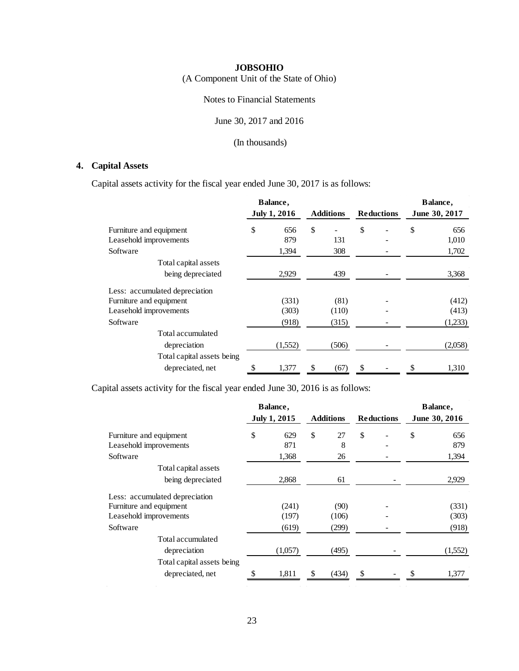(A Component Unit of the State of Ohio)

# Notes to Financial Statements

June 30, 2017 and 2016

(In thousands)

# **4. Capital Assets**

Capital assets activity for the fiscal year ended June 30, 2017 is as follows:

|                                |                     | Balance, |                  |                   | Balance,      |
|--------------------------------|---------------------|----------|------------------|-------------------|---------------|
|                                | <b>July 1, 2016</b> |          | <b>Additions</b> | <b>Reductions</b> | June 30, 2017 |
| Furniture and equipment        | \$                  | 656      | \$               | \$                | \$<br>656     |
| Leasehold improvements         |                     | 879      | 131              |                   | 1,010         |
| Software                       |                     | 1,394    | 308              |                   | 1,702         |
| Total capital assets           |                     |          |                  |                   |               |
| being depreciated              |                     | 2,929    | 439              |                   | 3,368         |
| Less: accumulated depreciation |                     |          |                  |                   |               |
| Furniture and equipment        |                     | (331)    | (81)             |                   | (412)         |
| Leasehold improvements         |                     | (303)    | (110)            |                   | (413)         |
| Software                       |                     | (918)    | (315)            |                   | (1,233)       |
| Total accumulated              |                     |          |                  |                   |               |
| depreciation                   |                     | (1,552)  | (506)            |                   | (2,058)       |
| Total capital assets being     |                     |          |                  |                   |               |
| depreciated, net               |                     | 1,377    | \$<br>(67)       | \$                | 1,310         |

 $\bar{\gamma}$ 

Capital assets activity for the fiscal year ended June 30, 2016 is as follows:

|                                | Balance,     |               |                  |                   | Balance,      |
|--------------------------------|--------------|---------------|------------------|-------------------|---------------|
|                                | July 1, 2015 |               | <b>Additions</b> | <b>Reductions</b> | June 30, 2016 |
| Furniture and equipment        | \$<br>629    | \$            | 27               | \$                | \$<br>656     |
| Leasehold improvements         | 871          |               | 8                |                   | 879           |
| Software                       | 1,368        |               | 26               |                   | 1,394         |
| Total capital assets           |              |               |                  |                   |               |
| being depreciated              | 2,868        |               | 61               |                   | 2,929         |
| Less: accumulated depreciation |              |               |                  |                   |               |
| Furniture and equipment        | (241)        |               | (90)             |                   | (331)         |
| Leasehold improvements         | (197)        |               | (106)            |                   | (303)         |
| Software                       | (619)        |               | (299)            |                   | (918)         |
| Total accumulated              |              |               |                  |                   |               |
| depreciation                   | (1,057)      |               | (495)            |                   | (1,552)       |
| Total capital assets being     |              |               |                  |                   |               |
| depreciated, net               | \$<br>1,811  | <sup>\$</sup> | (434)            | \$                | 1,377         |
|                                |              |               |                  |                   |               |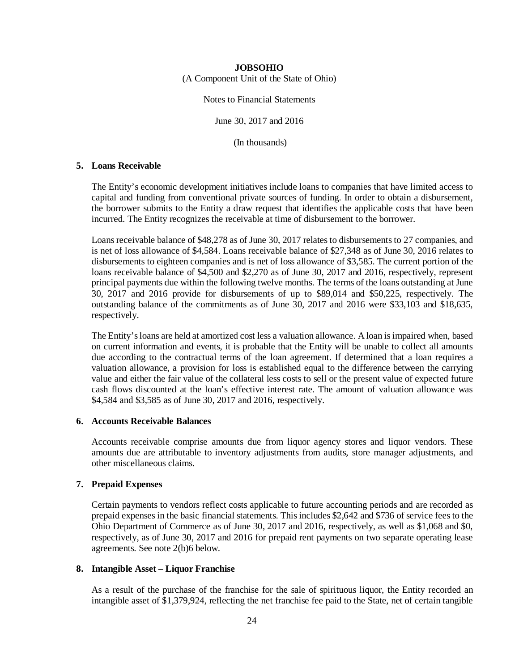(A Component Unit of the State of Ohio)

### Notes to Financial Statements

June 30, 2017 and 2016

(In thousands)

## **5. Loans Receivable**

The Entity's economic development initiatives include loans to companies that have limited access to capital and funding from conventional private sources of funding. In order to obtain a disbursement, the borrower submits to the Entity a draw request that identifies the applicable costs that have been incurred. The Entity recognizes the receivable at time of disbursement to the borrower.

Loans receivable balance of \$48,278 as of June 30, 2017 relates to disbursements to 27 companies, and is net of loss allowance of \$4,584. Loans receivable balance of \$27,348 as of June 30, 2016 relates to disbursements to eighteen companies and is net of loss allowance of \$3,585. The current portion of the loans receivable balance of \$4,500 and \$2,270 as of June 30, 2017 and 2016, respectively, represent principal payments due within the following twelve months. The terms of the loans outstanding at June 30, 2017 and 2016 provide for disbursements of up to \$89,014 and \$50,225, respectively. The outstanding balance of the commitments as of June 30, 2017 and 2016 were \$33,103 and \$18,635, respectively.

The Entity's loans are held at amortized cost less a valuation allowance. A loan is impaired when, based on current information and events, it is probable that the Entity will be unable to collect all amounts due according to the contractual terms of the loan agreement. If determined that a loan requires a valuation allowance, a provision for loss is established equal to the difference between the carrying value and either the fair value of the collateral less costs to sell or the present value of expected future cash flows discounted at the loan's effective interest rate. The amount of valuation allowance was \$4,584 and \$3,585 as of June 30, 2017 and 2016, respectively.

## **6. Accounts Receivable Balances**

Accounts receivable comprise amounts due from liquor agency stores and liquor vendors. These amounts due are attributable to inventory adjustments from audits, store manager adjustments, and other miscellaneous claims.

# **7. Prepaid Expenses**

Certain payments to vendors reflect costs applicable to future accounting periods and are recorded as prepaid expenses in the basic financial statements. This includes \$2,642 and \$736 of service fees to the Ohio Department of Commerce as of June 30, 2017 and 2016, respectively, as well as \$1,068 and \$0, respectively, as of June 30, 2017 and 2016 for prepaid rent payments on two separate operating lease agreements. See note 2(b)6 below.

# **8. Intangible Asset – Liquor Franchise**

As a result of the purchase of the franchise for the sale of spirituous liquor, the Entity recorded an intangible asset of \$1,379,924, reflecting the net franchise fee paid to the State, net of certain tangible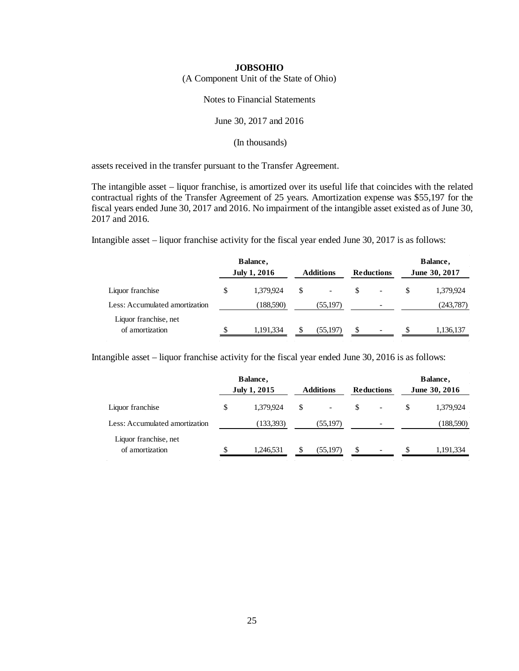(A Component Unit of the State of Ohio)

## Notes to Financial Statements

### June 30, 2017 and 2016

#### (In thousands)

assets received in the transfer pursuant to the Transfer Agreement.

The intangible asset – liquor franchise, is amortized over its useful life that coincides with the related contractual rights of the Transfer Agreement of 25 years. Amortization expense was \$55,197 for the fiscal years ended June 30, 2017 and 2016. No impairment of the intangible asset existed as of June 30, 2017 and 2016.

Intangible asset – liquor franchise activity for the fiscal year ended June 30, 2017 is as follows:

|                                          |   | Balance,<br><b>July 1, 2016</b> |    | <b>Additions</b> |   | <b>Reductions</b>        |     | Balance,<br>June 30, 2017 |
|------------------------------------------|---|---------------------------------|----|------------------|---|--------------------------|-----|---------------------------|
| Liquor franchise                         | S | 1,379,924                       | \$ |                  | S | $\overline{\phantom{0}}$ | \$  | 1,379,924                 |
| Less: Accumulated amortization           |   | (188,590)                       |    | (55, 197)        |   |                          |     | (243,787)                 |
| Liquor franchise, net<br>of amortization |   | 1,191,334                       | S  | (55,197)         |   | $\overline{\phantom{a}}$ | \$. | 1,136,137                 |

Intangible asset – liquor franchise activity for the fiscal year ended June 30, 2016 is as follows:

|                               | Balance,        |
|-------------------------------|-----------------|
| <b>Reductions</b>             | June 30, 2016   |
| S<br>$\overline{\phantom{0}}$ | \$<br>1,379,924 |
|                               | (188, 590)      |
| $\overline{\phantom{a}}$      | 1,191,334       |
| S                             | S               |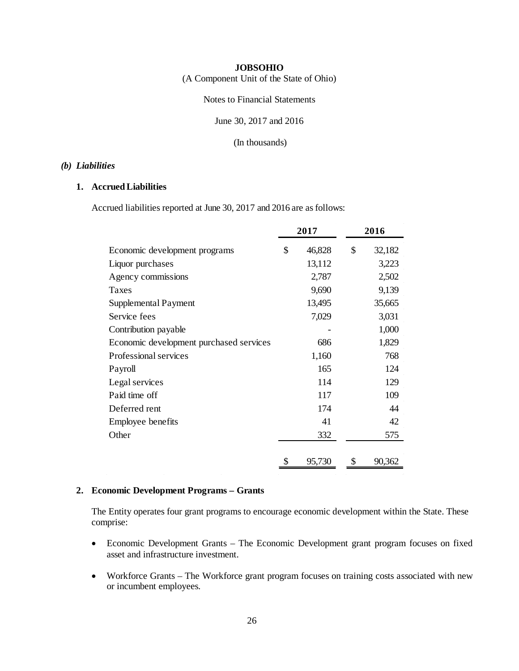(A Component Unit of the State of Ohio)

## Notes to Financial Statements

June 30, 2017 and 2016

(In thousands)

# *(b) Liabilities*

# **1. AccruedLiabilities**

Accrued liabilities reported at June 30, 2017 and 2016 are as follows:

|                                         | 2017         | 2016         |
|-----------------------------------------|--------------|--------------|
| Economic development programs           | \$<br>46,828 | \$<br>32,182 |
| Liquor purchases                        | 13,112       | 3,223        |
| Agency commissions                      | 2,787        | 2,502        |
| Taxes                                   | 9,690        | 9,139        |
| Supplemental Payment                    | 13,495       | 35,665       |
| Service fees                            | 7,029        | 3,031        |
| Contribution payable                    |              | 1,000        |
| Economic development purchased services | 686          | 1,829        |
| Professional services                   | 1,160        | 768          |
| Payroll                                 | 165          | 124          |
| Legal services                          | 114          | 129          |
| Paid time off                           | 117          | 109          |
| Deferred rent                           | 174          | 44           |
| Employee benefits                       | 41           | 42           |
| Other                                   | 332          | 575          |
|                                         | \$<br>95,730 | \$<br>90,362 |

### **2. Economic Development Programs – Grants**

The Entity operates four grant programs to encourage economic development within the State. These comprise:

- Economic Development Grants The Economic Development grant program focuses on fixed asset and infrastructure investment.
- Workforce Grants The Workforce grant program focuses on training costs associated with new or incumbent employees.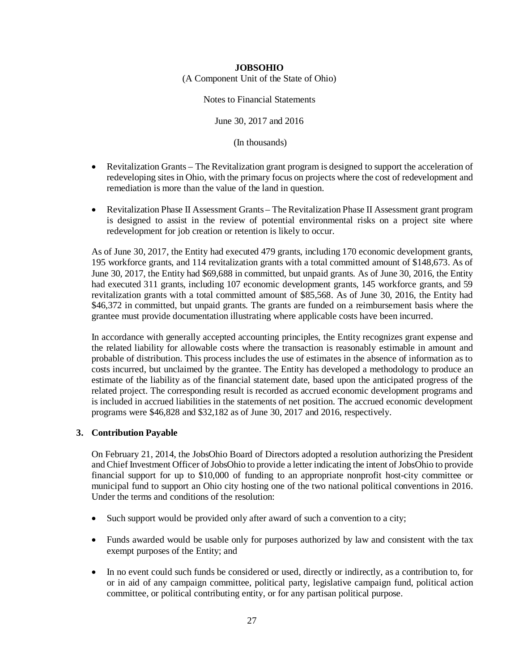(A Component Unit of the State of Ohio)

Notes to Financial Statements

June 30, 2017 and 2016

(In thousands)

- Revitalization Grants The Revitalization grant program is designed to support the acceleration of redeveloping sites in Ohio, with the primary focus on projects where the cost of redevelopment and remediation is more than the value of the land in question.
- Revitalization Phase II Assessment Grants The Revitalization Phase II Assessment grant program is designed to assist in the review of potential environmental risks on a project site where redevelopment for job creation or retention is likely to occur.

As of June 30, 2017, the Entity had executed 479 grants, including 170 economic development grants, 195 workforce grants, and 114 revitalization grants with a total committed amount of \$148,673. As of June 30, 2017, the Entity had \$69,688 in committed, but unpaid grants. As of June 30, 2016, the Entity had executed 311 grants, including 107 economic development grants, 145 workforce grants, and 59 revitalization grants with a total committed amount of \$85,568. As of June 30, 2016, the Entity had \$46,372 in committed, but unpaid grants. The grants are funded on a reimbursement basis where the grantee must provide documentation illustrating where applicable costs have been incurred.

In accordance with generally accepted accounting principles, the Entity recognizes grant expense and the related liability for allowable costs where the transaction is reasonably estimable in amount and probable of distribution. This process includes the use of estimates in the absence of information as to costs incurred, but unclaimed by the grantee. The Entity has developed a methodology to produce an estimate of the liability as of the financial statement date, based upon the anticipated progress of the related project. The corresponding result is recorded as accrued economic development programs and is included in accrued liabilities in the statements of net position. The accrued economic development programs were \$46,828 and \$32,182 as of June 30, 2017 and 2016, respectively.

# **3. Contribution Payable**

On February 21, 2014, the JobsOhio Board of Directors adopted a resolution authorizing the President and Chief Investment Officer of JobsOhio to provide a letter indicating the intent of JobsOhio to provide financial support for up to \$10,000 of funding to an appropriate nonprofit host-city committee or municipal fund to support an Ohio city hosting one of the two national political conventions in 2016. Under the terms and conditions of the resolution:

- Such support would be provided only after award of such a convention to a city;
- Funds awarded would be usable only for purposes authorized by law and consistent with the tax exempt purposes of the Entity; and
- In no event could such funds be considered or used, directly or indirectly, as a contribution to, for or in aid of any campaign committee, political party, legislative campaign fund, political action committee, or political contributing entity, or for any partisan political purpose.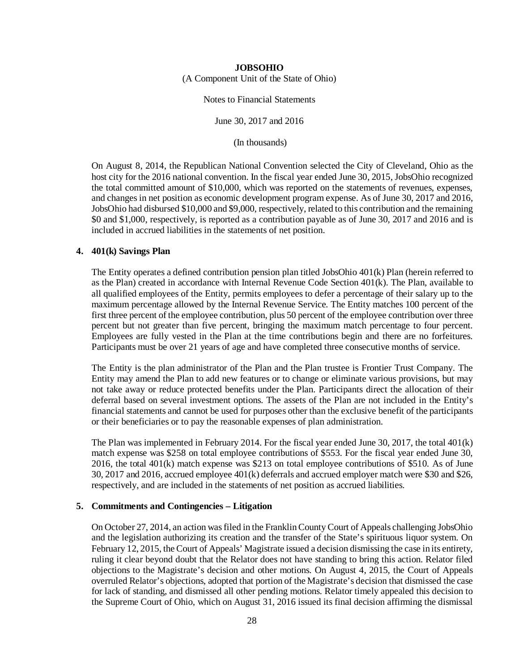# **JOBSOHIO**  (A Component Unit of the State of Ohio)

### Notes to Financial Statements

June 30, 2017 and 2016

(In thousands)

On August 8, 2014, the Republican National Convention selected the City of Cleveland, Ohio as the host city for the 2016 national convention. In the fiscal year ended June 30, 2015, JobsOhio recognized the total committed amount of \$10,000, which was reported on the statements of revenues, expenses, and changes in net position as economic development program expense. As of June 30, 2017 and 2016, JobsOhio had disbursed \$10,000 and \$9,000, respectively, related to this contribution and the remaining \$0 and \$1,000, respectively, is reported as a contribution payable as of June 30, 2017 and 2016 and is included in accrued liabilities in the statements of net position.

# **4. 401(k) Savings Plan**

The Entity operates a defined contribution pension plan titled JobsOhio 401(k) Plan (herein referred to as the Plan) created in accordance with Internal Revenue Code Section 401(k). The Plan, available to all qualified employees of the Entity, permits employees to defer a percentage of their salary up to the maximum percentage allowed by the Internal Revenue Service. The Entity matches 100 percent of the first three percent of the employee contribution, plus 50 percent of the employee contribution over three percent but not greater than five percent, bringing the maximum match percentage to four percent. Employees are fully vested in the Plan at the time contributions begin and there are no forfeitures. Participants must be over 21 years of age and have completed three consecutive months of service.

The Entity is the plan administrator of the Plan and the Plan trustee is Frontier Trust Company. The Entity may amend the Plan to add new features or to change or eliminate various provisions, but may not take away or reduce protected benefits under the Plan. Participants direct the allocation of their deferral based on several investment options. The assets of the Plan are not included in the Entity's financial statements and cannot be used for purposes other than the exclusive benefit of the participants or their beneficiaries or to pay the reasonable expenses of plan administration.

The Plan was implemented in February 2014. For the fiscal year ended June 30, 2017, the total 401(k) match expense was \$258 on total employee contributions of \$553. For the fiscal year ended June 30, 2016, the total 401(k) match expense was \$213 on total employee contributions of \$510. As of June 30, 2017 and 2016, accrued employee 401(k) deferrals and accrued employer match were \$30 and \$26, respectively, and are included in the statements of net position as accrued liabilities.

## **5. Commitments and Contingencies – Litigation**

On October 27, 2014, an action was filed in the Franklin County Court of Appeals challenging JobsOhio and the legislation authorizing its creation and the transfer of the State's spirituous liquor system. On February 12, 2015, the Court of Appeals' Magistrate issued a decision dismissing the case in its entirety, ruling it clear beyond doubt that the Relator does not have standing to bring this action. Relator filed objections to the Magistrate's decision and other motions. On August 4, 2015, the Court of Appeals overruled Relator's objections, adopted that portion of the Magistrate's decision that dismissed the case for lack of standing, and dismissed all other pending motions. Relator timely appealed this decision to the Supreme Court of Ohio, which on August 31, 2016 issued its final decision affirming the dismissal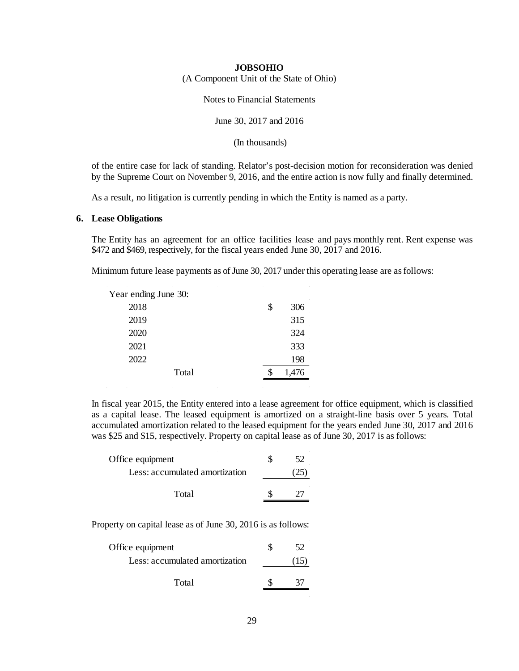(A Component Unit of the State of Ohio)

#### Notes to Financial Statements

June 30, 2017 and 2016

(In thousands)

of the entire case for lack of standing. Relator's post-decision motion for reconsideration was denied by the Supreme Court on November 9, 2016, and the entire action is now fully and finally determined.

As a result, no litigation is currently pending in which the Entity is named as a party.

### **6. Lease Obligations**

The Entity has an agreement for an office facilities lease and pays monthly rent. Rent expense was \$472 and \$469, respectively, for the fiscal years ended June 30, 2017 and 2016.

Minimum future lease payments as of June 30, 2017 under this operating lease are asfollows:

| Year ending June 30: |           |
|----------------------|-----------|
| 2018                 | \$<br>306 |
| 2019                 | 315       |
| 2020                 | 324       |
| 2021                 | 333       |
| 2022                 | 198       |
| Total                | 1,476     |
|                      |           |

In fiscal year 2015, the Entity entered into a lease agreement for office equipment, which is classified as a capital lease. The leased equipment is amortized on a straight-line basis over 5 years. Total accumulated amortization related to the leased equipment for the years ended June 30, 2017 and 2016 was \$25 and \$15, respectively. Property on capital lease as of June 30, 2017 is as follows:

| Office equipment               | 52 |
|--------------------------------|----|
| Less: accumulated amortization |    |
| Total                          |    |

Property on capital lease as of June 30, 2016 is as follows:

| Office equipment               | 52 |
|--------------------------------|----|
| Less: accumulated amortization |    |
| Total                          |    |
|                                |    |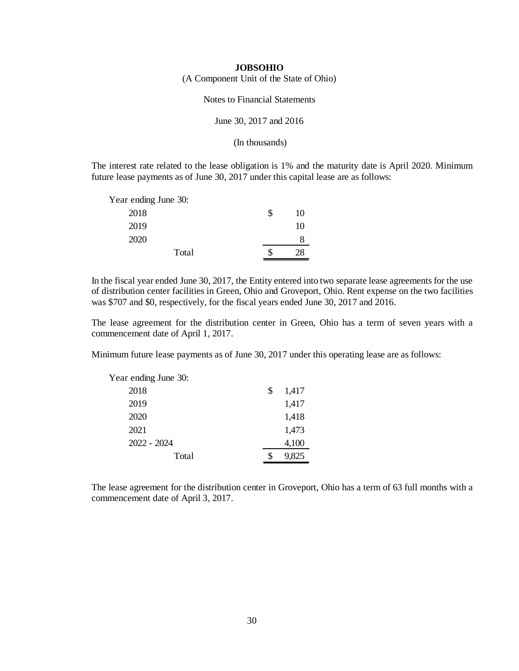(A Component Unit of the State of Ohio)

## Notes to Financial Statements

June 30, 2017 and 2016

(In thousands)

The interest rate related to the lease obligation is 1% and the maturity date is April 2020. Minimum future lease payments as of June 30, 2017 under this capital lease are as follows:

| Year ending June 30: |    |
|----------------------|----|
| 2018                 | 10 |
| 2019                 |    |
| 2020                 |    |
| Total                |    |
|                      |    |

In the fiscal year ended June 30, 2017, the Entity entered into two separate lease agreements for the use of distribution center facilities in Green, Ohio and Groveport, Ohio. Rent expense on the two facilities was \$707 and \$0, respectively, for the fiscal years ended June 30, 2017 and 2016.

The lease agreement for the distribution center in Green, Ohio has a term of seven years with a commencement date of April 1, 2017.

Minimum future lease payments as of June 30, 2017 under this operating lease are as follows:

| Year ending June 30: |             |
|----------------------|-------------|
| 2018                 | \$<br>1,417 |
| 2019                 | 1,417       |
| 2020                 | 1,418       |
| 2021                 | 1,473       |
| 2022 - 2024          | 4,100       |
| Total                | 9,825       |
|                      |             |

The lease agreement for the distribution center in Groveport, Ohio has a term of 63 full months with a commencement date of April 3, 2017.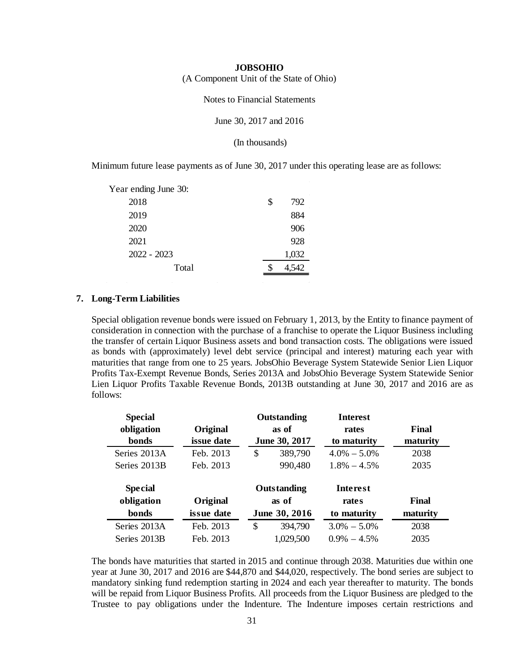(A Component Unit of the State of Ohio)

#### Notes to Financial Statements

June 30, 2017 and 2016

(In thousands)

Minimum future lease payments as of June 30, 2017 under this operating lease are as follows:

| Year ending June 30: |           |
|----------------------|-----------|
| 2018                 | \$<br>792 |
| 2019                 | 884       |
| 2020                 | 906       |
| 2021                 | 928       |
| $2022 - 2023$        | 1,032     |
| Total                | 4.542     |

and the control of the control of the control of the control of the control of

## **7. Long-Term Liabilities**

Special obligation revenue bonds were issued on February 1, 2013, by the Entity to finance payment of consideration in connection with the purchase of a franchise to operate the Liquor Business including the transfer of certain Liquor Business assets and bond transaction costs. The obligations were issued as bonds with (approximately) level debt service (principal and interest) maturing each year with maturities that range from one to 25 years. JobsOhio Beverage System Statewide Senior Lien Liquor Profits Tax-Exempt Revenue Bonds, Series 2013A and JobsOhio Beverage System Statewide Senior Lien Liquor Profits Taxable Revenue Bonds, 2013B outstanding at June 30, 2017 and 2016 are as follows:

| <b>Special</b><br>obligation<br>bonds | Original<br>issue date | Outstanding<br>as of<br>June 30, 2017 | <b>Interest</b><br>rates<br>to maturity | Final<br>maturity |
|---------------------------------------|------------------------|---------------------------------------|-----------------------------------------|-------------------|
| Series 2013A                          | Feb. 2013              | \$<br>389,790                         | $4.0\% - 5.0\%$                         | 2038              |
| Series 2013B                          | Feb. 2013              | 990,480                               | $1.8\% - 4.5\%$                         | 2035              |
| <b>Special</b>                        |                        | Outstanding                           | <b>Interest</b>                         |                   |
| obligation                            | Original               | as of                                 | rates                                   | <b>Final</b>      |
| <b>bonds</b>                          | issue date             | June 30, 2016                         | to maturity                             | maturity          |
| Series 2013A                          | Feb. 2013              | \$<br>394,790                         | $3.0\% - 5.0\%$                         | 2038              |
| Series 2013B                          | Feb. 2013              | 1,029,500                             | $0.9\% - 4.5\%$                         | 2035              |

The bonds have maturities that started in 2015 and continue through 2038. Maturities due within one year at June 30, 2017 and 2016 are \$44,870 and \$44,020, respectively. The bond series are subject to mandatory sinking fund redemption starting in 2024 and each year thereafter to maturity. The bonds will be repaid from Liquor Business Profits. All proceeds from the Liquor Business are pledged to the Trustee to pay obligations under the Indenture. The Indenture imposes certain restrictions and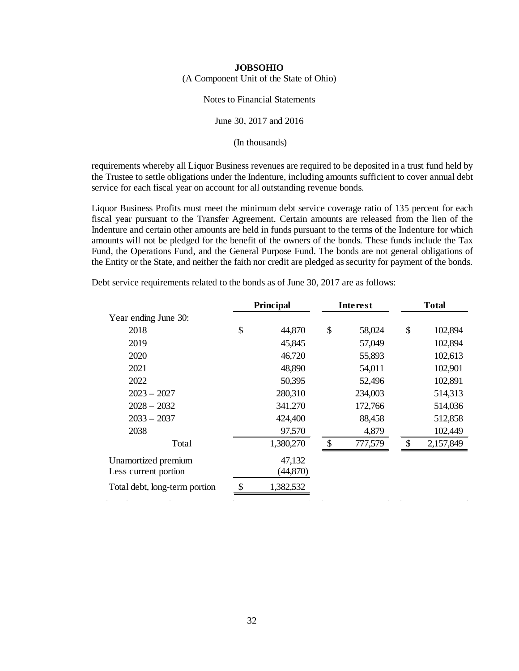(A Component Unit of the State of Ohio)

## Notes to Financial Statements

## June 30, 2017 and 2016

(In thousands)

requirements whereby all Liquor Business revenues are required to be deposited in a trust fund held by the Trustee to settle obligations under the Indenture, including amounts sufficient to cover annual debt service for each fiscal year on account for all outstanding revenue bonds.

Liquor Business Profits must meet the minimum debt service coverage ratio of 135 percent for each fiscal year pursuant to the Transfer Agreement. Certain amounts are released from the lien of the Indenture and certain other amounts are held in funds pursuant to the terms of the Indenture for which amounts will not be pledged for the benefit of the owners of the bonds. These funds include the Tax Fund, the Operations Fund, and the General Purpose Fund. The bonds are not general obligations of the Entity or the State, and neither the faith nor credit are pledged as security for payment of the bonds.

|                               | <b>Principal</b> |               | <b>Interest</b> |               | <b>Total</b> |
|-------------------------------|------------------|---------------|-----------------|---------------|--------------|
| Year ending June 30:          |                  |               |                 |               |              |
| 2018                          | \$<br>44,870     | \$            | 58,024          | \$            | 102,894      |
| 2019                          | 45,845           |               | 57,049          |               | 102,894      |
| 2020                          | 46,720           |               | 55,893          |               | 102,613      |
| 2021                          | 48,890           |               | 54,011          |               | 102,901      |
| 2022                          | 50,395           |               | 52,496          |               | 102,891      |
| $2023 - 2027$                 | 280,310          |               | 234,003         |               | 514,313      |
| $2028 - 2032$                 | 341,270          |               | 172,766         |               | 514,036      |
| $2033 - 2037$                 | 424,400          |               | 88,458          |               | 512,858      |
| 2038                          | 97,570           |               | 4,879           |               | 102,449      |
| Total                         | 1,380,270        | $\mathcal{S}$ | 777,579         | $\mathcal{S}$ | 2,157,849    |
| Unamortized premium           | 47,132           |               |                 |               |              |
| Less current portion          | (44, 870)        |               |                 |               |              |
| Total debt, long-term portion | 1,382,532        |               |                 |               |              |

Debt service requirements related to the bonds as of June 30, 2017 are as follows: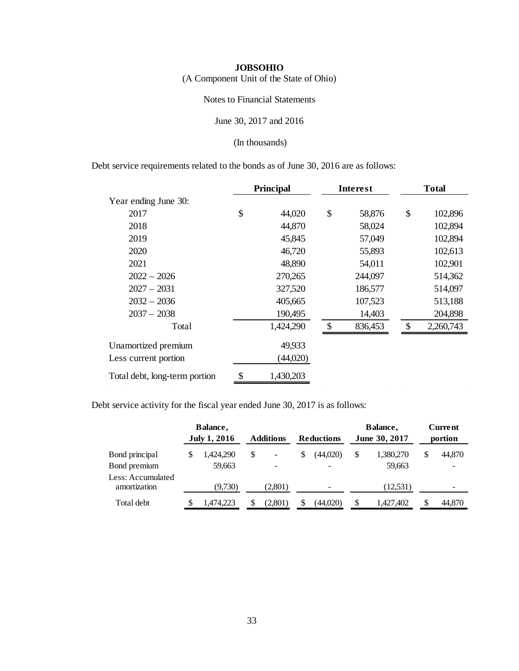(A Component Unit of the State of Ohio)

Notes to Financial Statements

June 30, 2017 and 2016

(In thousands)

Debt service requirements related to the bonds as of June 30, 2016 are as follows:

|                               |               | <b>Principal</b> | Interest      | <b>Total</b>  |           |  |
|-------------------------------|---------------|------------------|---------------|---------------|-----------|--|
| Year ending June 30:          |               |                  |               |               |           |  |
| 2017                          | \$            | 44,020           | \$<br>58,876  | \$            | 102,896   |  |
| 2018                          |               | 44,870           | 58,024        |               | 102,894   |  |
| 2019                          |               | 45,845           | 57,049        |               | 102,894   |  |
| 2020                          |               | 46,720           | 55,893        |               | 102,613   |  |
| 2021                          |               | 48,890           | 54,011        |               | 102,901   |  |
| $2022 - 2026$                 |               | 270,265          | 244,097       |               | 514,362   |  |
| $2027 - 2031$                 |               | 327,520          | 186,577       |               | 514,097   |  |
| $2032 - 2036$                 |               | 405,665          | 107,523       |               | 513,188   |  |
| $2037 - 2038$                 |               | 190,495          | 14,403        |               | 204,898   |  |
| Total                         |               | 1,424,290        | \$<br>836,453 | $\mathcal{S}$ | 2,260,743 |  |
| Unamortized premium           |               | 49,933           |               |               |           |  |
| Less current portion          |               | (44,020)         |               |               |           |  |
| Total debt, long-term portion | $\mathcal{S}$ | 1,430,203        |               |               |           |  |

Debt service activity for the fiscal year ended June 30, 2017 is as follows:

| Balance,<br><b>July 1, 2016</b>   |  | <b>Additions</b><br><b>Reductions</b> |         |    | Balance,<br>June 30, 2017 | <b>Current</b><br>portion |     |        |
|-----------------------------------|--|---------------------------------------|---------|----|---------------------------|---------------------------|-----|--------|
| Bond principal                    |  | 1,424,290                             | \$      | \$ | (44,020)                  | \$<br>1,380,270           | \$  | 44,870 |
| Bond premium<br>Less: Accumulated |  | 59,663                                |         |    |                           | 59,663                    |     |        |
| amortization                      |  | (9,730)                               | (2,801) |    |                           | (12,531)                  |     |        |
| Total debt                        |  | 1.474.223                             | (2,801) | \$ | (44.020)                  | \$<br>1.427.402           | \$. | 44,870 |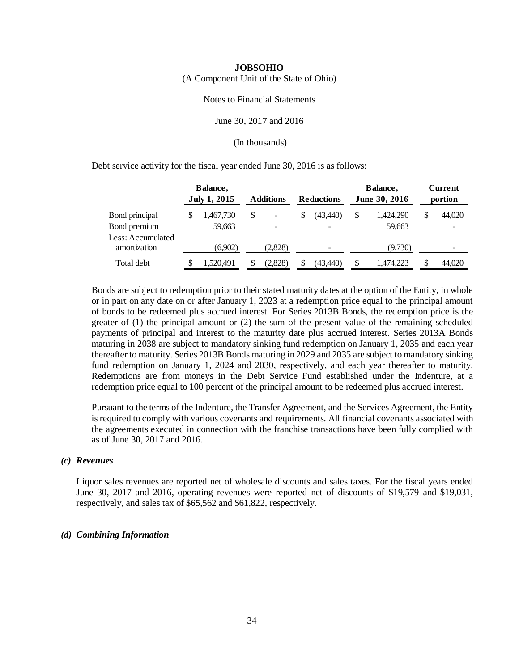(A Component Unit of the State of Ohio)

#### Notes to Financial Statements

June 30, 2017 and 2016

#### (In thousands)

Debt service activity for the fiscal year ended June 30, 2016 is as follows:

|                   |                     | Balance,  |    |                  |    |                   |    | Balance,      |         | Current |  |
|-------------------|---------------------|-----------|----|------------------|----|-------------------|----|---------------|---------|---------|--|
|                   | <b>July 1, 2015</b> |           |    | <b>Additions</b> |    | <b>Reductions</b> |    | June 30, 2016 | portion |         |  |
| Bond principal    |                     | ,467,730  | \$ |                  | \$ | (43, 440)         | \$ | 1,424,290     | \$      | 44,020  |  |
| Bond premium      |                     | 59,663    |    |                  |    |                   |    | 59,663        |         |         |  |
| Less: Accumulated |                     |           |    |                  |    |                   |    |               |         |         |  |
| amortization      |                     | (6.902)   |    | (2,828)          |    | -                 |    | (9,730)       |         | -       |  |
| Total debt        |                     | 1,520,491 | S  | (2,828)          | S  | (43,440)          | S  | 1,474,223     | \$      | 44,020  |  |

Bonds are subject to redemption prior to their stated maturity dates at the option of the Entity, in whole or in part on any date on or after January 1, 2023 at a redemption price equal to the principal amount of bonds to be redeemed plus accrued interest. For Series 2013B Bonds, the redemption price is the greater of (1) the principal amount or (2) the sum of the present value of the remaining scheduled payments of principal and interest to the maturity date plus accrued interest. Series 2013A Bonds maturing in 2038 are subject to mandatory sinking fund redemption on January 1, 2035 and each year thereafter to maturity. Series 2013B Bonds maturing in 2029 and 2035 are subject to mandatory sinking fund redemption on January 1, 2024 and 2030, respectively, and each year thereafter to maturity. Redemptions are from moneys in the Debt Service Fund established under the Indenture, at a redemption price equal to 100 percent of the principal amount to be redeemed plus accrued interest.

Pursuant to the terms of the Indenture, the Transfer Agreement, and the Services Agreement, the Entity is required to comply with various covenants and requirements. All financial covenants associated with the agreements executed in connection with the franchise transactions have been fully complied with as of June 30, 2017 and 2016.

### *(c) Revenues*

Liquor sales revenues are reported net of wholesale discounts and sales taxes. For the fiscal years ended June 30, 2017 and 2016, operating revenues were reported net of discounts of \$19,579 and \$19,031, respectively, and sales tax of \$65,562 and \$61,822, respectively.

#### *(d) Combining Information*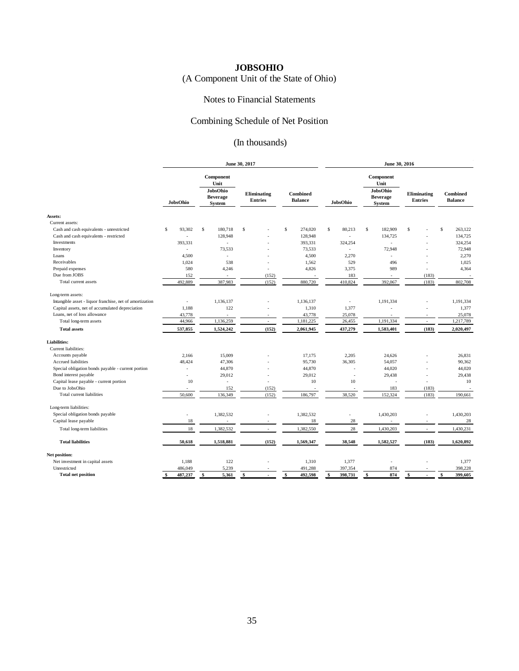# (A Component Unit of the State of Ohio)

# Notes to Financial Statements

# Combining Schedule of Net Position

| Component<br>Component<br>Unit<br>Unit<br>JobsOhio<br>JobsOhio<br>Combined<br>Combined<br>Eliminating<br>Eliminating<br><b>Beverage</b><br><b>Beverage</b><br><b>Entries</b><br><b>Balance</b><br><b>Entries</b><br><b>Balance</b><br>JobsOhio<br>JobsOhio<br><b>System</b><br>System<br>Assets:<br>Current assets:<br>Cash and cash equivalents - unrestricted<br>S<br>\$<br>93,302<br>s<br>180,718<br>\$<br>\$<br>274,020<br>\$<br>80,213<br>s<br>182,909<br>S<br>263,122<br>128,948<br>128,948<br>134,725<br>134,725<br>Cash and cash equivalents - restricted<br>ä,<br>$\sim$<br>Investments<br>393,331<br>324,254<br>393,331<br>324,254<br>÷,<br>73,533<br>73,533<br>72.948<br>72,948<br>Inventory<br>÷,<br>$\bar{a}$<br>4,500<br>2,270<br>2,270<br>4.500<br>Loans<br>ä,<br>1,025<br>Receivables<br>1,024<br>538<br>1,562<br>529<br>496<br>Prepaid expenses<br>580<br>4,246<br>4,826<br>3,375<br>989<br>4,364<br>÷.<br>$\overline{\phantom{a}}$<br>Due from JOBS<br>183<br>152<br>(152)<br>(183)<br>$\sim$<br>$\overline{\phantom{a}}$<br>٠<br>492,889<br>387,983<br>880,720<br>410,824<br>392,067<br>802,708<br>Total current assets<br>(152)<br>(183)<br>Long-term assets:<br>Intangible asset - liquor franchise, net of amortization<br>1,136,137<br>1,191,334<br>1,191,334<br>1,136,137<br>÷.<br>$\mathbf{r}$<br>Capital assets, net of accumulated depreciation<br>1,188<br>122<br>1,310<br>1,377<br>1,377<br>Loans, net of loss allowance<br>43,778<br>25,078<br>25,078<br>43,778<br>1,136,259<br>1,181,225<br>1,191,334<br>44,966<br>26,455<br>1,217,789<br>Total long-term assets<br>÷.<br>$\sim$<br><b>Total assets</b><br>(152)<br>537,855<br>1,524,242<br>2,061,945<br>437,279<br>1,583,401<br>(183)<br>2,020,497<br>Liabilities:<br>Current liabilities:<br>Accounts payable<br>2,166<br>15,009<br>17,175<br>2,205<br>24,626<br>26,831<br>Accrued liabilities<br>48,424<br>47,306<br>95,730<br>36,305<br>54,057<br>90,362<br>44,020<br>44,870<br>44,870<br>44,020<br>Special obligation bonds payable - current portion<br>ä,<br>Bond interest payable<br>29,438<br>29,012<br>29,012<br>29,438<br>ä,<br><u>. .</u><br>Capital lease payable - current portion<br>10<br>10<br>10<br>10<br>٠<br>Due to JobsOhio<br>152<br>183<br>(152)<br>(183)<br>$\sim$<br>38.520<br>Total current liabilities<br>50,600<br>136.349<br>(152)<br>186,797<br>152.324<br>(183)<br>190,661<br>Long-term liabilities:<br>Special obligation bonds payable<br>1,382,532<br>1,382,532<br>1,430,203<br>1,430,203<br>ä,<br>$\sim$<br>Capital lease payable<br>18<br>18<br>28<br>28<br>18<br>1,382,532<br>1,382,550<br>28<br>1,430,203<br>1,430,231<br>Total long-term liabilities<br><b>Total liabilities</b><br>38,548<br>50,618<br>1,518,881<br>(152)<br>1,569,347<br>1,582,527<br>(183)<br>1,620,892<br>Net position:<br>Net investment in capital assets<br>1,188<br>122<br>1,377<br>1,310<br>1,377<br>Unrestricted<br>5,239<br>398,228<br>486,049<br>491,288<br>397,354<br>874<br><b>Total net position</b><br>487,237<br>\$<br>5,361<br>$\boldsymbol{\mathsf{s}}$<br>\$<br>874<br>$\mathbf{s}$<br>\$<br>\$<br>492,598<br>398,731<br>399,605<br>\$<br>-S<br>$\overline{\phantom{a}}$ |  | June 30, 2017 | June 30, 2016 |  |  |  |  |  |
|------------------------------------------------------------------------------------------------------------------------------------------------------------------------------------------------------------------------------------------------------------------------------------------------------------------------------------------------------------------------------------------------------------------------------------------------------------------------------------------------------------------------------------------------------------------------------------------------------------------------------------------------------------------------------------------------------------------------------------------------------------------------------------------------------------------------------------------------------------------------------------------------------------------------------------------------------------------------------------------------------------------------------------------------------------------------------------------------------------------------------------------------------------------------------------------------------------------------------------------------------------------------------------------------------------------------------------------------------------------------------------------------------------------------------------------------------------------------------------------------------------------------------------------------------------------------------------------------------------------------------------------------------------------------------------------------------------------------------------------------------------------------------------------------------------------------------------------------------------------------------------------------------------------------------------------------------------------------------------------------------------------------------------------------------------------------------------------------------------------------------------------------------------------------------------------------------------------------------------------------------------------------------------------------------------------------------------------------------------------------------------------------------------------------------------------------------------------------------------------------------------------------------------------------------------------------------------------------------------------------------------------------------------------------------------------------------------------------------------------------------------------------------------------------------------------------------------------------------------------------------------------------------------------------------------------------------------------------------------------------------------------------------------------------------------------------------------------------------------------------------------------------------------------------------------|--|---------------|---------------|--|--|--|--|--|
|                                                                                                                                                                                                                                                                                                                                                                                                                                                                                                                                                                                                                                                                                                                                                                                                                                                                                                                                                                                                                                                                                                                                                                                                                                                                                                                                                                                                                                                                                                                                                                                                                                                                                                                                                                                                                                                                                                                                                                                                                                                                                                                                                                                                                                                                                                                                                                                                                                                                                                                                                                                                                                                                                                                                                                                                                                                                                                                                                                                                                                                                                                                                                                                    |  |               |               |  |  |  |  |  |
|                                                                                                                                                                                                                                                                                                                                                                                                                                                                                                                                                                                                                                                                                                                                                                                                                                                                                                                                                                                                                                                                                                                                                                                                                                                                                                                                                                                                                                                                                                                                                                                                                                                                                                                                                                                                                                                                                                                                                                                                                                                                                                                                                                                                                                                                                                                                                                                                                                                                                                                                                                                                                                                                                                                                                                                                                                                                                                                                                                                                                                                                                                                                                                                    |  |               |               |  |  |  |  |  |
|                                                                                                                                                                                                                                                                                                                                                                                                                                                                                                                                                                                                                                                                                                                                                                                                                                                                                                                                                                                                                                                                                                                                                                                                                                                                                                                                                                                                                                                                                                                                                                                                                                                                                                                                                                                                                                                                                                                                                                                                                                                                                                                                                                                                                                                                                                                                                                                                                                                                                                                                                                                                                                                                                                                                                                                                                                                                                                                                                                                                                                                                                                                                                                                    |  |               |               |  |  |  |  |  |
|                                                                                                                                                                                                                                                                                                                                                                                                                                                                                                                                                                                                                                                                                                                                                                                                                                                                                                                                                                                                                                                                                                                                                                                                                                                                                                                                                                                                                                                                                                                                                                                                                                                                                                                                                                                                                                                                                                                                                                                                                                                                                                                                                                                                                                                                                                                                                                                                                                                                                                                                                                                                                                                                                                                                                                                                                                                                                                                                                                                                                                                                                                                                                                                    |  |               |               |  |  |  |  |  |
|                                                                                                                                                                                                                                                                                                                                                                                                                                                                                                                                                                                                                                                                                                                                                                                                                                                                                                                                                                                                                                                                                                                                                                                                                                                                                                                                                                                                                                                                                                                                                                                                                                                                                                                                                                                                                                                                                                                                                                                                                                                                                                                                                                                                                                                                                                                                                                                                                                                                                                                                                                                                                                                                                                                                                                                                                                                                                                                                                                                                                                                                                                                                                                                    |  |               |               |  |  |  |  |  |
|                                                                                                                                                                                                                                                                                                                                                                                                                                                                                                                                                                                                                                                                                                                                                                                                                                                                                                                                                                                                                                                                                                                                                                                                                                                                                                                                                                                                                                                                                                                                                                                                                                                                                                                                                                                                                                                                                                                                                                                                                                                                                                                                                                                                                                                                                                                                                                                                                                                                                                                                                                                                                                                                                                                                                                                                                                                                                                                                                                                                                                                                                                                                                                                    |  |               |               |  |  |  |  |  |
|                                                                                                                                                                                                                                                                                                                                                                                                                                                                                                                                                                                                                                                                                                                                                                                                                                                                                                                                                                                                                                                                                                                                                                                                                                                                                                                                                                                                                                                                                                                                                                                                                                                                                                                                                                                                                                                                                                                                                                                                                                                                                                                                                                                                                                                                                                                                                                                                                                                                                                                                                                                                                                                                                                                                                                                                                                                                                                                                                                                                                                                                                                                                                                                    |  |               |               |  |  |  |  |  |
|                                                                                                                                                                                                                                                                                                                                                                                                                                                                                                                                                                                                                                                                                                                                                                                                                                                                                                                                                                                                                                                                                                                                                                                                                                                                                                                                                                                                                                                                                                                                                                                                                                                                                                                                                                                                                                                                                                                                                                                                                                                                                                                                                                                                                                                                                                                                                                                                                                                                                                                                                                                                                                                                                                                                                                                                                                                                                                                                                                                                                                                                                                                                                                                    |  |               |               |  |  |  |  |  |
|                                                                                                                                                                                                                                                                                                                                                                                                                                                                                                                                                                                                                                                                                                                                                                                                                                                                                                                                                                                                                                                                                                                                                                                                                                                                                                                                                                                                                                                                                                                                                                                                                                                                                                                                                                                                                                                                                                                                                                                                                                                                                                                                                                                                                                                                                                                                                                                                                                                                                                                                                                                                                                                                                                                                                                                                                                                                                                                                                                                                                                                                                                                                                                                    |  |               |               |  |  |  |  |  |
|                                                                                                                                                                                                                                                                                                                                                                                                                                                                                                                                                                                                                                                                                                                                                                                                                                                                                                                                                                                                                                                                                                                                                                                                                                                                                                                                                                                                                                                                                                                                                                                                                                                                                                                                                                                                                                                                                                                                                                                                                                                                                                                                                                                                                                                                                                                                                                                                                                                                                                                                                                                                                                                                                                                                                                                                                                                                                                                                                                                                                                                                                                                                                                                    |  |               |               |  |  |  |  |  |
|                                                                                                                                                                                                                                                                                                                                                                                                                                                                                                                                                                                                                                                                                                                                                                                                                                                                                                                                                                                                                                                                                                                                                                                                                                                                                                                                                                                                                                                                                                                                                                                                                                                                                                                                                                                                                                                                                                                                                                                                                                                                                                                                                                                                                                                                                                                                                                                                                                                                                                                                                                                                                                                                                                                                                                                                                                                                                                                                                                                                                                                                                                                                                                                    |  |               |               |  |  |  |  |  |
|                                                                                                                                                                                                                                                                                                                                                                                                                                                                                                                                                                                                                                                                                                                                                                                                                                                                                                                                                                                                                                                                                                                                                                                                                                                                                                                                                                                                                                                                                                                                                                                                                                                                                                                                                                                                                                                                                                                                                                                                                                                                                                                                                                                                                                                                                                                                                                                                                                                                                                                                                                                                                                                                                                                                                                                                                                                                                                                                                                                                                                                                                                                                                                                    |  |               |               |  |  |  |  |  |
|                                                                                                                                                                                                                                                                                                                                                                                                                                                                                                                                                                                                                                                                                                                                                                                                                                                                                                                                                                                                                                                                                                                                                                                                                                                                                                                                                                                                                                                                                                                                                                                                                                                                                                                                                                                                                                                                                                                                                                                                                                                                                                                                                                                                                                                                                                                                                                                                                                                                                                                                                                                                                                                                                                                                                                                                                                                                                                                                                                                                                                                                                                                                                                                    |  |               |               |  |  |  |  |  |
|                                                                                                                                                                                                                                                                                                                                                                                                                                                                                                                                                                                                                                                                                                                                                                                                                                                                                                                                                                                                                                                                                                                                                                                                                                                                                                                                                                                                                                                                                                                                                                                                                                                                                                                                                                                                                                                                                                                                                                                                                                                                                                                                                                                                                                                                                                                                                                                                                                                                                                                                                                                                                                                                                                                                                                                                                                                                                                                                                                                                                                                                                                                                                                                    |  |               |               |  |  |  |  |  |
|                                                                                                                                                                                                                                                                                                                                                                                                                                                                                                                                                                                                                                                                                                                                                                                                                                                                                                                                                                                                                                                                                                                                                                                                                                                                                                                                                                                                                                                                                                                                                                                                                                                                                                                                                                                                                                                                                                                                                                                                                                                                                                                                                                                                                                                                                                                                                                                                                                                                                                                                                                                                                                                                                                                                                                                                                                                                                                                                                                                                                                                                                                                                                                                    |  |               |               |  |  |  |  |  |
|                                                                                                                                                                                                                                                                                                                                                                                                                                                                                                                                                                                                                                                                                                                                                                                                                                                                                                                                                                                                                                                                                                                                                                                                                                                                                                                                                                                                                                                                                                                                                                                                                                                                                                                                                                                                                                                                                                                                                                                                                                                                                                                                                                                                                                                                                                                                                                                                                                                                                                                                                                                                                                                                                                                                                                                                                                                                                                                                                                                                                                                                                                                                                                                    |  |               |               |  |  |  |  |  |
|                                                                                                                                                                                                                                                                                                                                                                                                                                                                                                                                                                                                                                                                                                                                                                                                                                                                                                                                                                                                                                                                                                                                                                                                                                                                                                                                                                                                                                                                                                                                                                                                                                                                                                                                                                                                                                                                                                                                                                                                                                                                                                                                                                                                                                                                                                                                                                                                                                                                                                                                                                                                                                                                                                                                                                                                                                                                                                                                                                                                                                                                                                                                                                                    |  |               |               |  |  |  |  |  |
|                                                                                                                                                                                                                                                                                                                                                                                                                                                                                                                                                                                                                                                                                                                                                                                                                                                                                                                                                                                                                                                                                                                                                                                                                                                                                                                                                                                                                                                                                                                                                                                                                                                                                                                                                                                                                                                                                                                                                                                                                                                                                                                                                                                                                                                                                                                                                                                                                                                                                                                                                                                                                                                                                                                                                                                                                                                                                                                                                                                                                                                                                                                                                                                    |  |               |               |  |  |  |  |  |
|                                                                                                                                                                                                                                                                                                                                                                                                                                                                                                                                                                                                                                                                                                                                                                                                                                                                                                                                                                                                                                                                                                                                                                                                                                                                                                                                                                                                                                                                                                                                                                                                                                                                                                                                                                                                                                                                                                                                                                                                                                                                                                                                                                                                                                                                                                                                                                                                                                                                                                                                                                                                                                                                                                                                                                                                                                                                                                                                                                                                                                                                                                                                                                                    |  |               |               |  |  |  |  |  |
|                                                                                                                                                                                                                                                                                                                                                                                                                                                                                                                                                                                                                                                                                                                                                                                                                                                                                                                                                                                                                                                                                                                                                                                                                                                                                                                                                                                                                                                                                                                                                                                                                                                                                                                                                                                                                                                                                                                                                                                                                                                                                                                                                                                                                                                                                                                                                                                                                                                                                                                                                                                                                                                                                                                                                                                                                                                                                                                                                                                                                                                                                                                                                                                    |  |               |               |  |  |  |  |  |
|                                                                                                                                                                                                                                                                                                                                                                                                                                                                                                                                                                                                                                                                                                                                                                                                                                                                                                                                                                                                                                                                                                                                                                                                                                                                                                                                                                                                                                                                                                                                                                                                                                                                                                                                                                                                                                                                                                                                                                                                                                                                                                                                                                                                                                                                                                                                                                                                                                                                                                                                                                                                                                                                                                                                                                                                                                                                                                                                                                                                                                                                                                                                                                                    |  |               |               |  |  |  |  |  |
|                                                                                                                                                                                                                                                                                                                                                                                                                                                                                                                                                                                                                                                                                                                                                                                                                                                                                                                                                                                                                                                                                                                                                                                                                                                                                                                                                                                                                                                                                                                                                                                                                                                                                                                                                                                                                                                                                                                                                                                                                                                                                                                                                                                                                                                                                                                                                                                                                                                                                                                                                                                                                                                                                                                                                                                                                                                                                                                                                                                                                                                                                                                                                                                    |  |               |               |  |  |  |  |  |
|                                                                                                                                                                                                                                                                                                                                                                                                                                                                                                                                                                                                                                                                                                                                                                                                                                                                                                                                                                                                                                                                                                                                                                                                                                                                                                                                                                                                                                                                                                                                                                                                                                                                                                                                                                                                                                                                                                                                                                                                                                                                                                                                                                                                                                                                                                                                                                                                                                                                                                                                                                                                                                                                                                                                                                                                                                                                                                                                                                                                                                                                                                                                                                                    |  |               |               |  |  |  |  |  |
|                                                                                                                                                                                                                                                                                                                                                                                                                                                                                                                                                                                                                                                                                                                                                                                                                                                                                                                                                                                                                                                                                                                                                                                                                                                                                                                                                                                                                                                                                                                                                                                                                                                                                                                                                                                                                                                                                                                                                                                                                                                                                                                                                                                                                                                                                                                                                                                                                                                                                                                                                                                                                                                                                                                                                                                                                                                                                                                                                                                                                                                                                                                                                                                    |  |               |               |  |  |  |  |  |
|                                                                                                                                                                                                                                                                                                                                                                                                                                                                                                                                                                                                                                                                                                                                                                                                                                                                                                                                                                                                                                                                                                                                                                                                                                                                                                                                                                                                                                                                                                                                                                                                                                                                                                                                                                                                                                                                                                                                                                                                                                                                                                                                                                                                                                                                                                                                                                                                                                                                                                                                                                                                                                                                                                                                                                                                                                                                                                                                                                                                                                                                                                                                                                                    |  |               |               |  |  |  |  |  |
|                                                                                                                                                                                                                                                                                                                                                                                                                                                                                                                                                                                                                                                                                                                                                                                                                                                                                                                                                                                                                                                                                                                                                                                                                                                                                                                                                                                                                                                                                                                                                                                                                                                                                                                                                                                                                                                                                                                                                                                                                                                                                                                                                                                                                                                                                                                                                                                                                                                                                                                                                                                                                                                                                                                                                                                                                                                                                                                                                                                                                                                                                                                                                                                    |  |               |               |  |  |  |  |  |
|                                                                                                                                                                                                                                                                                                                                                                                                                                                                                                                                                                                                                                                                                                                                                                                                                                                                                                                                                                                                                                                                                                                                                                                                                                                                                                                                                                                                                                                                                                                                                                                                                                                                                                                                                                                                                                                                                                                                                                                                                                                                                                                                                                                                                                                                                                                                                                                                                                                                                                                                                                                                                                                                                                                                                                                                                                                                                                                                                                                                                                                                                                                                                                                    |  |               |               |  |  |  |  |  |
|                                                                                                                                                                                                                                                                                                                                                                                                                                                                                                                                                                                                                                                                                                                                                                                                                                                                                                                                                                                                                                                                                                                                                                                                                                                                                                                                                                                                                                                                                                                                                                                                                                                                                                                                                                                                                                                                                                                                                                                                                                                                                                                                                                                                                                                                                                                                                                                                                                                                                                                                                                                                                                                                                                                                                                                                                                                                                                                                                                                                                                                                                                                                                                                    |  |               |               |  |  |  |  |  |
|                                                                                                                                                                                                                                                                                                                                                                                                                                                                                                                                                                                                                                                                                                                                                                                                                                                                                                                                                                                                                                                                                                                                                                                                                                                                                                                                                                                                                                                                                                                                                                                                                                                                                                                                                                                                                                                                                                                                                                                                                                                                                                                                                                                                                                                                                                                                                                                                                                                                                                                                                                                                                                                                                                                                                                                                                                                                                                                                                                                                                                                                                                                                                                                    |  |               |               |  |  |  |  |  |
|                                                                                                                                                                                                                                                                                                                                                                                                                                                                                                                                                                                                                                                                                                                                                                                                                                                                                                                                                                                                                                                                                                                                                                                                                                                                                                                                                                                                                                                                                                                                                                                                                                                                                                                                                                                                                                                                                                                                                                                                                                                                                                                                                                                                                                                                                                                                                                                                                                                                                                                                                                                                                                                                                                                                                                                                                                                                                                                                                                                                                                                                                                                                                                                    |  |               |               |  |  |  |  |  |
|                                                                                                                                                                                                                                                                                                                                                                                                                                                                                                                                                                                                                                                                                                                                                                                                                                                                                                                                                                                                                                                                                                                                                                                                                                                                                                                                                                                                                                                                                                                                                                                                                                                                                                                                                                                                                                                                                                                                                                                                                                                                                                                                                                                                                                                                                                                                                                                                                                                                                                                                                                                                                                                                                                                                                                                                                                                                                                                                                                                                                                                                                                                                                                                    |  |               |               |  |  |  |  |  |
|                                                                                                                                                                                                                                                                                                                                                                                                                                                                                                                                                                                                                                                                                                                                                                                                                                                                                                                                                                                                                                                                                                                                                                                                                                                                                                                                                                                                                                                                                                                                                                                                                                                                                                                                                                                                                                                                                                                                                                                                                                                                                                                                                                                                                                                                                                                                                                                                                                                                                                                                                                                                                                                                                                                                                                                                                                                                                                                                                                                                                                                                                                                                                                                    |  |               |               |  |  |  |  |  |
|                                                                                                                                                                                                                                                                                                                                                                                                                                                                                                                                                                                                                                                                                                                                                                                                                                                                                                                                                                                                                                                                                                                                                                                                                                                                                                                                                                                                                                                                                                                                                                                                                                                                                                                                                                                                                                                                                                                                                                                                                                                                                                                                                                                                                                                                                                                                                                                                                                                                                                                                                                                                                                                                                                                                                                                                                                                                                                                                                                                                                                                                                                                                                                                    |  |               |               |  |  |  |  |  |
|                                                                                                                                                                                                                                                                                                                                                                                                                                                                                                                                                                                                                                                                                                                                                                                                                                                                                                                                                                                                                                                                                                                                                                                                                                                                                                                                                                                                                                                                                                                                                                                                                                                                                                                                                                                                                                                                                                                                                                                                                                                                                                                                                                                                                                                                                                                                                                                                                                                                                                                                                                                                                                                                                                                                                                                                                                                                                                                                                                                                                                                                                                                                                                                    |  |               |               |  |  |  |  |  |
|                                                                                                                                                                                                                                                                                                                                                                                                                                                                                                                                                                                                                                                                                                                                                                                                                                                                                                                                                                                                                                                                                                                                                                                                                                                                                                                                                                                                                                                                                                                                                                                                                                                                                                                                                                                                                                                                                                                                                                                                                                                                                                                                                                                                                                                                                                                                                                                                                                                                                                                                                                                                                                                                                                                                                                                                                                                                                                                                                                                                                                                                                                                                                                                    |  |               |               |  |  |  |  |  |
|                                                                                                                                                                                                                                                                                                                                                                                                                                                                                                                                                                                                                                                                                                                                                                                                                                                                                                                                                                                                                                                                                                                                                                                                                                                                                                                                                                                                                                                                                                                                                                                                                                                                                                                                                                                                                                                                                                                                                                                                                                                                                                                                                                                                                                                                                                                                                                                                                                                                                                                                                                                                                                                                                                                                                                                                                                                                                                                                                                                                                                                                                                                                                                                    |  |               |               |  |  |  |  |  |
|                                                                                                                                                                                                                                                                                                                                                                                                                                                                                                                                                                                                                                                                                                                                                                                                                                                                                                                                                                                                                                                                                                                                                                                                                                                                                                                                                                                                                                                                                                                                                                                                                                                                                                                                                                                                                                                                                                                                                                                                                                                                                                                                                                                                                                                                                                                                                                                                                                                                                                                                                                                                                                                                                                                                                                                                                                                                                                                                                                                                                                                                                                                                                                                    |  |               |               |  |  |  |  |  |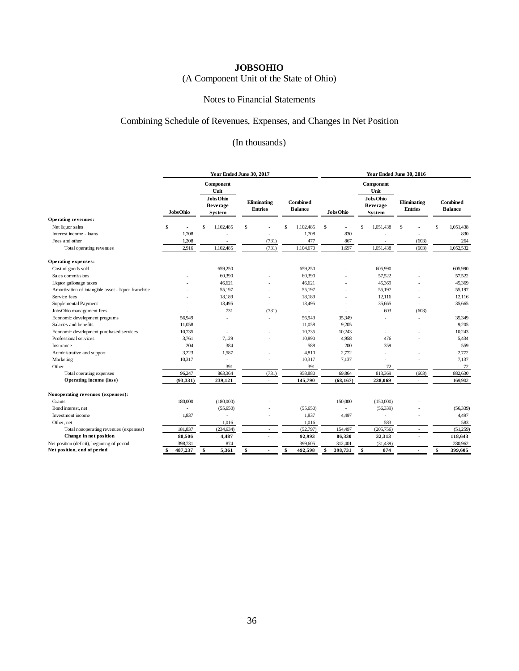# (A Component Unit of the State of Ohio)

# Notes to Financial Statements

# Combining Schedule of Revenues, Expenses, and Changes in Net Position

|                                                     |                            |                                                            | Year Ended June 30, 2017      |                                   | Year Ended June 30, 2016 |                                                                   |                               |                                   |  |
|-----------------------------------------------------|----------------------------|------------------------------------------------------------|-------------------------------|-----------------------------------|--------------------------|-------------------------------------------------------------------|-------------------------------|-----------------------------------|--|
|                                                     | <b>JobsOhio</b>            | Component<br>Unit<br>JobsOhio<br><b>Beverage</b><br>System | Eliminating<br><b>Entries</b> | <b>Combined</b><br><b>Balance</b> | <b>JobsOhio</b>          | Component<br>Unit<br><b>JobsOhio</b><br><b>Beverage</b><br>System | Eliminating<br><b>Entries</b> | <b>Combined</b><br><b>Balance</b> |  |
| Operating revenues:                                 |                            |                                                            |                               |                                   |                          |                                                                   |                               |                                   |  |
| Net liquor sales                                    | \$<br>$\ddot{\phantom{0}}$ | \$<br>1,102,485                                            | \$                            | \$<br>1,102,485                   | \$<br>$\overline{a}$     | $\mathcal{S}$<br>1,051,438                                        | \$                            | \$<br>1,051,438                   |  |
| Interest income - loans                             | 1,708                      |                                                            |                               | 1,708                             | 830                      |                                                                   |                               | 830                               |  |
| Fees and other                                      | 1,208                      |                                                            | (731)                         | 477                               | 867                      |                                                                   | (603)                         | 264                               |  |
| Total operating revenues                            | 2,916                      | 1,102,485                                                  | (731)                         | 1,104,670                         | 1,697                    | 1,051,438                                                         | (603)                         | 1,052,532                         |  |
| Operating expenses:                                 |                            |                                                            |                               |                                   |                          |                                                                   |                               |                                   |  |
| Cost of goods sold                                  |                            | 659,250                                                    |                               | 659,250                           |                          | 605,990                                                           |                               | 605,990                           |  |
| Sales commissions                                   |                            | 60,390                                                     |                               | 60,390                            |                          | 57,522                                                            |                               | 57,522                            |  |
| Liquor gallonage taxes                              |                            | 46,621                                                     |                               | 46,621                            |                          | 45,369                                                            |                               | 45,369                            |  |
| Amortization of intangible asset - liquor franchise |                            | 55,197                                                     |                               | 55,197                            |                          | 55,197                                                            |                               | 55,197                            |  |
| Service fees                                        |                            | 18,189                                                     |                               | 18,189                            |                          | 12,116                                                            |                               | 12,116                            |  |
| Supplemental Payment                                |                            | 13,495                                                     |                               | 13,495                            |                          | 35,665                                                            | ÷.                            | 35,665                            |  |
| JobsOhio management fees                            | L,                         | 731                                                        | (731)                         | $\sim$                            |                          | 603                                                               | (603)                         |                                   |  |
| Economic development programs                       | 56,949                     |                                                            |                               | 56,949                            | 35,349                   |                                                                   |                               | 35,349                            |  |
| Salaries and benefits                               | 11,058                     |                                                            |                               | 11,058                            | 9,205                    |                                                                   |                               | 9,205                             |  |
| Economic development purchased services             | 10,735                     |                                                            |                               | 10,735                            | 10,243                   |                                                                   |                               | 10,243                            |  |
| Professional services                               | 3,761                      | 7,129                                                      |                               | 10,890                            | 4,958                    | 476                                                               |                               | 5,434                             |  |
| Insurance                                           | 204                        | 384                                                        |                               | 588                               | 200                      | 359                                                               |                               | 559                               |  |
| Administrative and support                          | 3,223                      | 1,587                                                      |                               | 4,810                             | 2,772                    |                                                                   |                               | 2,772                             |  |
| Marketing                                           | 10,317                     | ä,                                                         |                               | 10,317                            | 7,137                    |                                                                   |                               | 7,137                             |  |
| Other                                               | $\overline{\phantom{a}}$   | 391                                                        |                               | 391                               |                          | 72                                                                | ä,                            | 72                                |  |
| Total operating expenses                            | 96,247                     | 863,364                                                    | (731)                         | 958,880                           | 69,864                   | 813,369                                                           | (603)                         | 882,630                           |  |
| <b>Operating income (loss)</b>                      | (93, 331)                  | 239,121                                                    | $\blacksquare$                | 145,790                           | (68, 167)                | 238,069                                                           | $\blacksquare$                | 169.902                           |  |
| Nonoperating revenues (expenses):                   |                            |                                                            |                               |                                   |                          |                                                                   |                               |                                   |  |
| Grants                                              | 180,000                    | (180,000)                                                  |                               |                                   | 150,000                  | (150,000)                                                         |                               |                                   |  |
| Bond interest, net                                  |                            | (55,650)                                                   |                               | (55,650)                          |                          | (56, 339)                                                         |                               | (56,339)                          |  |
| Investment income                                   | 1,837                      |                                                            |                               | 1,837                             | 4,497                    |                                                                   |                               | 4,497                             |  |
| Other, net                                          |                            | 1,016                                                      |                               | 1,016                             |                          | 583                                                               |                               | 583                               |  |
| Total nonoperating revenues (expenses)              | 181,837                    | (234, 634)                                                 |                               | (52,797)                          | 154,497                  | (205,756)                                                         | ä,                            | (51,259)                          |  |
| Change in net position                              | 88,506                     | 4,487                                                      |                               | 92,993                            | 86,330                   | 32,313                                                            |                               | 118,643                           |  |
| Net position (deficit), beginning of period         | 398,731                    | 874                                                        |                               | 399,605                           | 312,401                  | (31, 439)                                                         |                               | 280.962                           |  |
| Net position, end of period                         | 487,237<br>\$              | \$<br>5,361                                                | \$                            | \$<br>492,598                     | 398,731<br>\$            | 874<br>\$                                                         |                               | \$<br>399,605                     |  |